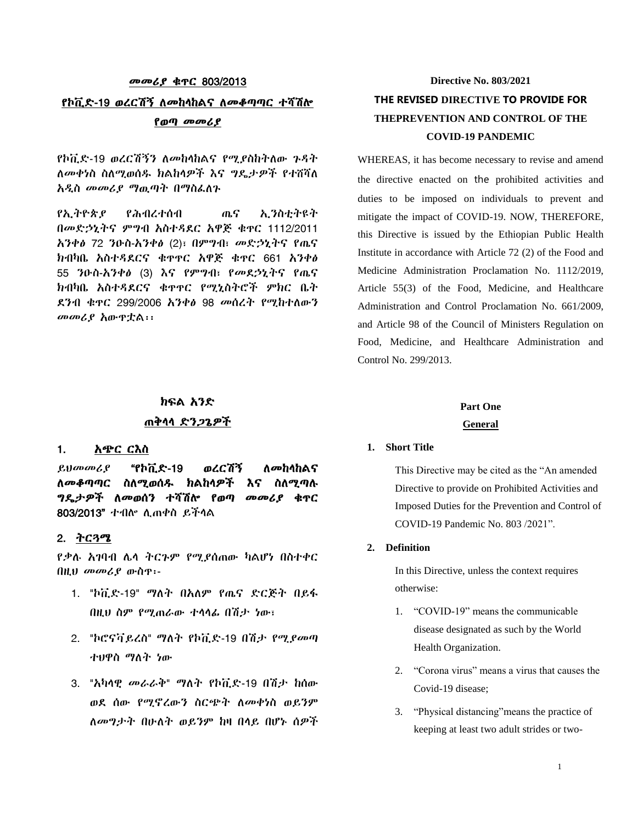# መመሪያ ቁጥር 803/2013 የኮቪድ-19 ወረርሽኝ ለመከላከልና ለመቆጣጣር ተሻሽሎ የወጣ መመሪያ

የኮቪድ-19 ወረርሽኝን ለመከላከልና የሚያስከትለው ጉዳት ለመቀነስ ስለሚወሰዱ ክልከላዎች እና ግዴታዎች የተሸሻለ አዲስ መመሪያ ማዉጣት በማስፌለጉ

የኢትዮጵያ የሕብረተሰብ ጤና ኢንስቲትዩት በመዴኃኒትና ምግብ አስተዲዯር አዋጅ ቁጥር 1112/2011 አንቀፅ 72 ንዑስ-አንቀፅ (2)፣ በምግብ፣ መዴኃኒትና የጤና ክብካቤ አስተዲዯርና ቁጥጥር አዋጅ ቁጥር 661 አንቀፅ 55 ንዑስ-አንቀፅ (3) እና የምግብ፣ የመዯኃኒትና የጤና ክብካቤ አስተዳደርና ቁዋዋር የሚኒስትሮች ምክር ቤት ደንብ ቁጥር 299/2006 አንቀፅ 98 መሰረት የሚከተለውን መመሪያ አውጥቷሌ፡፡

#### ክፍል አንድ

#### ጠቅላላ ድ*ንጋጌዎች*

#### 1. አጭር ርእስ

ይህመመሪያ "የኮቪድ-19 ወረርሽኝ ለመከላከልና ለመቆጣጣር ስለሚወሰዱ ክልከላዎች እና ስለሚጣሉ ግዳታዎች ሇመወሰን ተሻሽል የወጣ መመሪያ ቁጥር 803/2013" ተብሎ ሊጠቀስ ይችላል

### 2. ትርጓሜ

የቃለ አገባብ ላሊ ትርጉም የሚያሰጠው ካሌሆነ በስተቀር በዚህ መመሪያ ውስጥ፡-

- 1. "ኮቪድ-19" ማለት በአለም የጤና ድርጅት በይፋ በዚህ ስም የሚጠራው ተሊሊፉ በሽታ ነው፣
- 2. "ኮሮናቫይረስ" ማለት የኮቪድ-19 በሽታ የሚያመጣ ተህዋስ ማለት ነው
- 3. "አካላዊ መራራቅ" ማለት የኮቪድ-19 በሽታ ከሰው ወደ ሰው የሚኖረውን ስርጭት ለመቀነስ ወይንም ለመግታት በሁለት ወይንም ከዛ በላይ በሆኑ ሰዎች

# **Directive No. 803/2021 THE REVISED DIRECTIVE TO PROVIDE FOR THEPREVENTION AND CONTROL OF THE COVID-19 PANDEMIC**

WHEREAS, it has become necessary to revise and amend the directive enacted on the prohibited activities and duties to be imposed on individuals to prevent and mitigate the impact of COVID-19. NOW, THEREFORE, this Directive is issued by the Ethiopian Public Health Institute in accordance with Article 72 (2) of the Food and Medicine Administration Proclamation No. 1112/2019, Article 55(3) of the Food, Medicine, and Healthcare Administration and Control Proclamation No. 661/2009, and Article 98 of the Council of Ministers Regulation on Food, Medicine, and Healthcare Administration and Control No. 299/2013.

### **Part One**

#### **General**

#### **1. Short Title**

This Directive may be cited as the "An amended Directive to provide on Prohibited Activities and Imposed Duties for the Prevention and Control of COVID-19 Pandemic No. 803 /2021".

#### **2. Definition**

In this Directive, unless the context requires otherwise:

- 1. "COVID-19" means the communicable disease designated as such by the World Health Organization.
- 2. "Corona virus" means a virus that causes the Covid-19 disease;
- 3. "Physical distancing"means the practice of keeping at least two adult strides or two-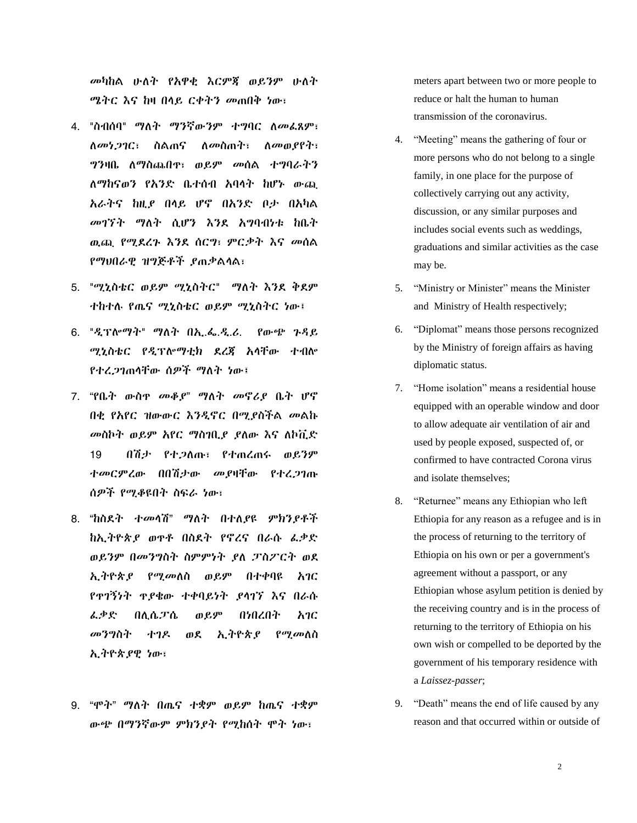መካከል ሁለት የአዋቂ እርምጃ ወይንም ሁለት ሜትር እና ከዛ በሊይ ርቀትን መጠበቅ ነው፣

- 4. "ስብሰባ" ማለት ማንኛውንም ተግባር ለመፌጸም፣ ሇመነጋገር፣ ስሌጠና ሇመስጠት፣ ሇመወያየት፣ ግንዛቤ ሇማስጨበጥ፣ ወይም መሰሌ ተግባራትን ሇማከናወን የአንዴ ቤተሰብ አባሊት ከሆኑ ውጪ አራትና ከዚያ በሊይ ሆኖ በአንዴ ቦታ በአካሌ መገኘት ማለት ሲሆን እንደ አግባብነቱ ከቤት ዉጪ የሚደረጉ እንደ ሰርግ፣ ምርቃት እና መሰል የማህበራዊ ዝግጅቶች ያጠቃሌሊሌ፣
- 5. "ሚኒስቴር ወይም ሚኒስትር" ማለት እንደ ቅደም ተከተለ የጤና ሚኒስቴር ወይም ሚኒስትር ነው፤
- 6. "ዱፕልማት" ማሇት በኢ.ፋ.ዱ.ሪ. የውጭ ጉዲይ ሚኒስቴር የዲፕሎማቲክ ደረጃ አላቸው ተብሎ የተረጋገጠላቸው ሰዎች ማለት ነው፤
- 7. "የቤት ውስጥ መቆያ" ማለት መኖሪያ ቤት ሆኖ በቂ የአየር ዝውውር እንዱኖር በሚያስችሌ መሌኩ መስኮት ወይም አየር ማስገቢያ ያለው እና ለኮቪድ 19 በሽታ የተጋሇጡ፣ የተጠረጠሩ ወይንም ተመርምረው በበሽታው መያዛቸው የተረጋገጡ ሰዎች የሚቆዩበት ስፍራ ነው፣
- 8. "ከስደት ተመላሽ" ማለት በተለያዩ ምክንያቶች ከኢትዮጵያ ወዋቶ በስደት የኖረና በራሱ ፌቃድ ወይንም በመንግስት ስምምነት ያለ ፓስፖርት ወደ ኢትዮጵ*ያ የሚመ*ለስ ወይም በተቀባዩ አገር የጥገኝነት ጥያቄው ተቀባይነት ያሊገኘ እና በራሱ ፇቃዴ በሉሴፓሴ ወይም በነበረበት አገር መንግስት ተገዶ ወደ ኢትዮጵያ የሚመለስ ኢትዮጵያዊ ነው፣
- 9. "ሞት" ማለት በጤና ተቋም ወይም ከጤና ተቋም ውጭ በማንኛውም ምክንያት የሚከሰት ሞት ነው፣

meters apart between two or more people to reduce or halt the human to human transmission of the coronavirus.

- 4. "Meeting" means the gathering of four or more persons who do not belong to a single family, in one place for the purpose of collectively carrying out any activity, discussion, or any similar purposes and includes social events such as weddings, graduations and similar activities as the case may be.
- 5. "Ministry or Minister" means the Minister and Ministry of Health respectively;
- 6. "Diplomat" means those persons recognized by the Ministry of foreign affairs as having diplomatic status.
- 7. "Home isolation" means a residential house equipped with an operable window and door to allow adequate air ventilation of air and used by people exposed, suspected of, or confirmed to have contracted Corona virus and isolate themselves;
- 8. "Returnee" means any Ethiopian who left Ethiopia for any reason as a refugee and is in the process of returning to the territory of Ethiopia on his own or per a government's agreement without a passport, or any Ethiopian whose asylum petition is denied by the receiving country and is in the process of returning to the territory of Ethiopia on his own wish or compelled to be deported by the government of his temporary residence with a *Laissez-passer*;
- 9. "Death" means the end of life caused by any reason and that occurred within or outside of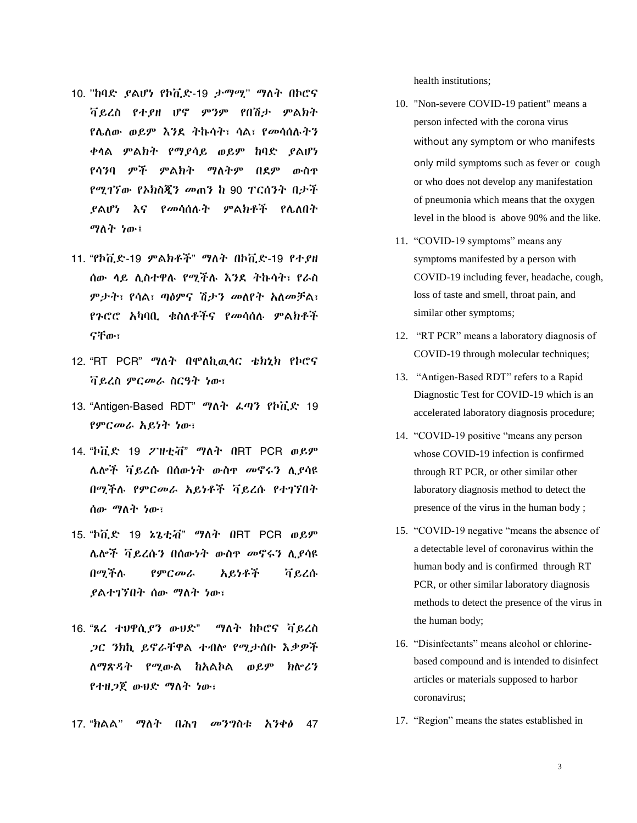- 10. "ከባድ ያልሆነ የኮቪድ-19 ታማሚ" ማለት በኮሮና ቫይረስ የተያዘ ሆኖ ምንም የበሽታ ምሌክት የሌለው ወይም እንደ ትኩሳት፣ ሳል፣ የመሳሰሉትን ቀሊሌ ምሌክት የማያሳይ ወይም ከባዴ ያሌሆነ የሳንባ ምች ምልክት ማለትም በደም ውስዋ የሚገኘው የኦክስጂን መጠን ከ 90 ፐርሰንት በታች ያልሆነ እና የመሳሰሉት ምልክቶች የሌለበት ማሇት ነው፤
- 11. "የኮቪዴ-19 ምሌክቶች" ማሇት በኮቪዴ-19 የተያዘ ሰው ሊይ ሉስተዋለ የሚችለ እንዯ ትኩሳት፣ የራስ ምታት፣ የሳል፣ ጣዕምና ሽታን መለየት አለመቻል፣ የጉሮሮ አካባቢ ቁስለቶችና የመሳሰሉ ምልክቶች ናቸው፣
- 12. "RT PCR" ማለት በሞለኪዉላር ቴክኒክ የኮሮና ቫይረስ ምርመራ ስርዓት ነው፣
- 13. "Antigen-Based RDT" ማለት ራጣን የኮቪድ 19 የምርመራ አይነት ነው፣
- 14. "ኮቪድ 19 ፖዘቲቭ" ማለት በRT PCR ወይም ላልች ቫይረሱ በሰውነት ውስጥ መኖሩን ሉያሳዩ በሚችለ የምርመራ አይነቶች ቫይረሱ የተገኘበት ሰው ማስት ነው፣
- 15. "ኮቪድ 19 ኔጌቲቭ" ማለት በRT PCR ወይም ላልች ቫይረሱን በሰውነት ውስጥ መኖሩን ሉያሳዩ በሚችለ የምርመራ አይነቶች ቫይረሱ ያልተገኘበት ሰው ማለት ነው፣
- 16. "ጸረ ተህዋሲያን ውህድ" ማለት ከኮሮና ቫይረስ ጋር ንክኪ ይኖራቸዋሌ ተብል የሚታሰቡ እቃዎች ሇማጽዲት የሚውሌ ከአሌኮሌ ወይም ክልሪን የተዘ*ጋ*ጀ ውሀድ ማለት ነው፣

17. "ክልል" *ማ*ለት በሕገ መንግስቱ አንቀ*ፅ* 47

health institutions;

- 10. "Non-severe COVID-19 patient" means a person infected with the corona virus without any symptom or who manifests only mild symptoms such as fever or cough or who does not develop any manifestation of pneumonia which means that the oxygen level in the blood is above 90% and the like.
- 11. "COVID-19 symptoms" means any symptoms manifested by a person with COVID-19 including fever, headache, cough, loss of taste and smell, throat pain, and similar other symptoms;
- 12. "RT PCR" means a laboratory diagnosis of COVID-19 through molecular techniques;
- 13. "Antigen-Based RDT" refers to a Rapid Diagnostic Test for COVID-19 which is an accelerated laboratory diagnosis procedure;
- 14. "COVID-19 positive "means any person whose COVID-19 infection is confirmed through RT PCR, or other similar other laboratory diagnosis method to detect the presence of the virus in the human body ;
- 15. "COVID-19 negative "means the absence of a detectable level of coronavirus within the human body and is confirmed through RT PCR, or other similar laboratory diagnosis methods to detect the presence of the virus in the human body;
- 16. "Disinfectants" means alcohol or chlorinebased compound and is intended to disinfect articles or materials supposed to harbor coronavirus;
- 17. "Region" means the states established in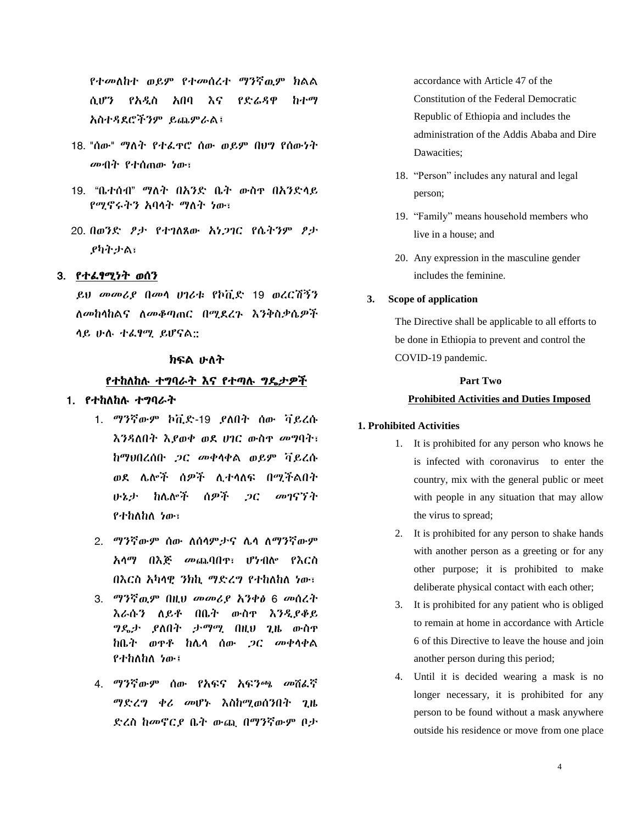የተመሇከተ ወይም የተመሰረተ ማንኛዉም ክሌሌ ሲሆን የአዱስ አበባ እና የዴሬዲዋ ከተማ አስተዲዯሮችንም ይጨምራሌ፤

- 18. "ሰው" ማለት የተፌዋሮ ሰው ወይም በህግ የሰውነት መብት የተሰጠው ነው፣
- 19. "ቤተሰብ" ማለት በአንድ ቤት ውስጥ በአንድላይ የሚኖሩትን አባላት ማለት ነው፣
- 20. በወንድ ፆታ የተገለጸው አነጋገር የሴትንም ፆታ ያካትታሌ፣

#### 3. የተፌፃሚነት ወሰን

ይህ መመሪያ በመሊ ሀገሪቱ የኮቪዴ 19 ወረርሽኝን ለመከላከልና ለመቆጣጠር በሚደረጉ እንቅስቃሴዎች ሳይ ሁሉ ተፌፃሚ ይሆናል::

### ክፍል ሁለት

#### የተከለከሉ ተግባራት እና የተጣሉ ግዴታዎች

- 1. የተከለከሉ ተግባራት
	- 1. ማንኛውም ኮቪድ-19 ያለበት ሰው ቫይረሱ እንዳለበት እያወቀ ወደ ሀገር ውስጥ መግባት፣ ከማህበረሰቡ ጋር መቀሊቀሌ ወይም ቫይረሱ ወደ ሌሎች ሰዎች ሊተላለፍ በሚችልበት ሁኔታ ከላልች ሰዎች ጋር መገናኘት የተከለከለ ነው፣
	- 2. ማንኛውም ሰው ለሰላምታና ሌላ ለማንኛውም አሊማ በእጅ መጨባበጥ፣ ሆነብል የእርስ በእርስ አካላዊ ንክኪ ማድረግ የተከለከለ ነው፣
	- 3. ማንኛዉም በዚህ መመሪያ አንቀፅ 6 መሰረት እራሱን ሇይቶ በቤት ውስጥ እንዱያቆይ ግዳታ ያሇበት ታማሚ በዚህ ጊዜ ውስጥ ከቤት ወጥቶ ከላሊ ሰው ጋር መቀሊቀሌ የተከለከለ ነው፤
	- 4. ማንኛውም ሰው የአፍና አፍንጫ መሸፌኛ ማዴረግ ቀሪ መሆኑ እስከሚወሰንበት ጊዜ ዴረስ ከመኖርያ ቤት ውጪ በማንኛውም ቦታ

accordance with Article 47 of the Constitution of the Federal Democratic Republic of Ethiopia and includes the administration of the Addis Ababa and Dire Dawacities;

- 18. "Person" includes any natural and legal person;
- 19. "Family" means household members who live in a house; and
- 20. Any expression in the masculine gender includes the feminine.

#### **3. Scope of application**

The Directive shall be applicable to all efforts to be done in Ethiopia to prevent and control the COVID-19 pandemic.

### **Part Two Prohibited Activities and Duties Imposed**

#### **1. Prohibited Activities**

- 1. It is prohibited for any person who knows he is infected with coronavirus to enter the country, mix with the general public or meet with people in any situation that may allow the virus to spread;
- 2. It is prohibited for any person to shake hands with another person as a greeting or for any other purpose; it is prohibited to make deliberate physical contact with each other;
- 3. It is prohibited for any patient who is obliged to remain at home in accordance with Article 6 of this Directive to leave the house and join another person during this period;
- 4. Until it is decided wearing a mask is no longer necessary, it is prohibited for any person to be found without a mask anywhere outside his residence or move from one place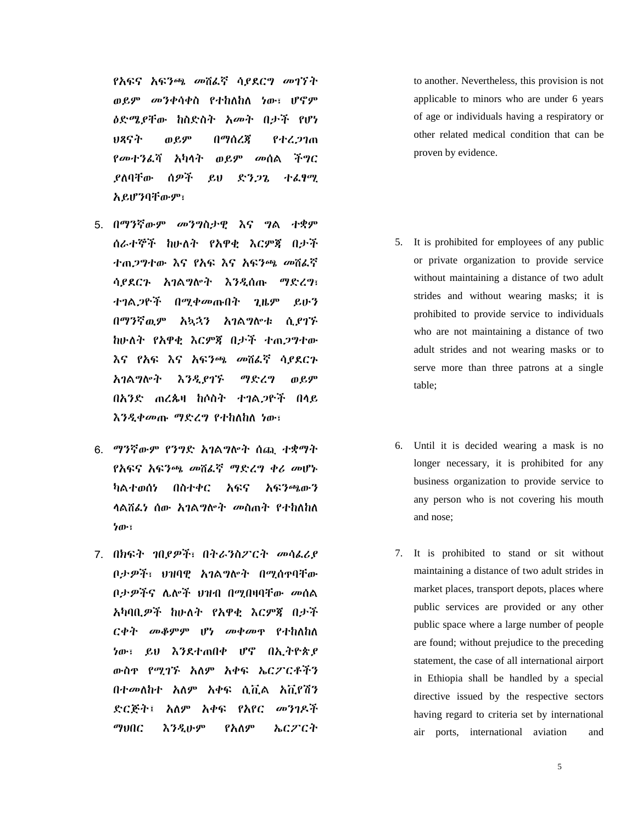የአፍና አፍንጫ መሸፌኛ ሳያደርግ መገኘት ወይም መንቀሳቀስ የተከለከለ ነው፣ ሆኖም ዕዴሜያቸው ከስዴስት አመት በታች የሆነ ህጻናት ወይም በማሰረጃ የተረጋገጠ የመተንፌሻ አካላት ወይም መሰል ችግር ያለባቸው ሰዎች ይህ ድንጋጌ ተፈፃሚ አይሆንባቸውም፣

- 5. በማንኛውም መንግስታዊ እና ግሌ ተቋም ሰራተኞች ከሁሇት የአዋቂ እርምጃ በታች ተጠ*ጋግ*ተው እና የአፍ እና አፍንጫ መሸፌኛ ሳያዯርጉ አገሌግልት እንዱሰጡ ማዴረግ፣ ተገሌጋዮች በሚቀመጡበት ጊዜም ይሁን በማንኛዉም አኳኋን አገሌግልቱ ሲያገኙ ከሁለት የአዋቂ እርምጃ በታች ተጠጋግተው እና የአፍ እና አፍንጫ መሸፌኛ ሳያደርጉ አገሌግልት እንዱያገኙ ማዴረግ ወይም በአንዴ ጠረጴዛ ከሶስት ተገሌጋዮች በሊይ እንዲቀመጡ ማድረግ የተከለከለ ነው፣
- 6. ማንኛውም የንግዴ አገሌግልት ሰጪ ተቋማት የአፍና አፍንጫ መሸፌኛ ማድረግ ቀሪ መሆኑ ካልተወሰነ በስተቀር አፍና አፍንጫውን ላልሸፌ*ነ* ሰው አገልግሎት መስጠት የተከለከለ ነው፣
- 7. በክፍት ገበያዎች፣ በትራንስፖርት መሳፌሪያ ቦታዎች፣ ህዝባዊ አገሌግልት በሚሰጥባቸው ቦታዎችና ላልች ህዝብ በሚበዛባቸው መሰሌ አካባቢዎች ከሁሇት የአዋቂ እርምጃ በታች ርቀት መቆምም ሆነ መቀመጥ የተከለከለ ነው፣ ይህ እንዯተጠበቀ ሆኖ በኢትዮጵያ ውስዋ የሚገኙ አለም አቀፍ ኤርፖርቶችን በተመለከተ አለም አቀፍ ሲቪል አቪየሽን ድርጅት፤ አለም አቀፍ የአየር መንገዶች ማህበር እንዲሁም የአለም ኤርፖርት

to another. Nevertheless, this provision is not applicable to minors who are under 6 years of age or individuals having a respiratory or other related medical condition that can be proven by evidence.

- 5. It is prohibited for employees of any public or private organization to provide service without maintaining a distance of two adult strides and without wearing masks; it is prohibited to provide service to individuals who are not maintaining a distance of two adult strides and not wearing masks or to serve more than three patrons at a single table;
- 6. Until it is decided wearing a mask is no longer necessary, it is prohibited for any business organization to provide service to any person who is not covering his mouth and nose;
- 7. It is prohibited to stand or sit without maintaining a distance of two adult strides in market places, transport depots, places where public services are provided or any other public space where a large number of people are found; without prejudice to the preceding statement, the case of all international airport in Ethiopia shall be handled by a special directive issued by the respective sectors having regard to criteria set by international air ports, international aviation and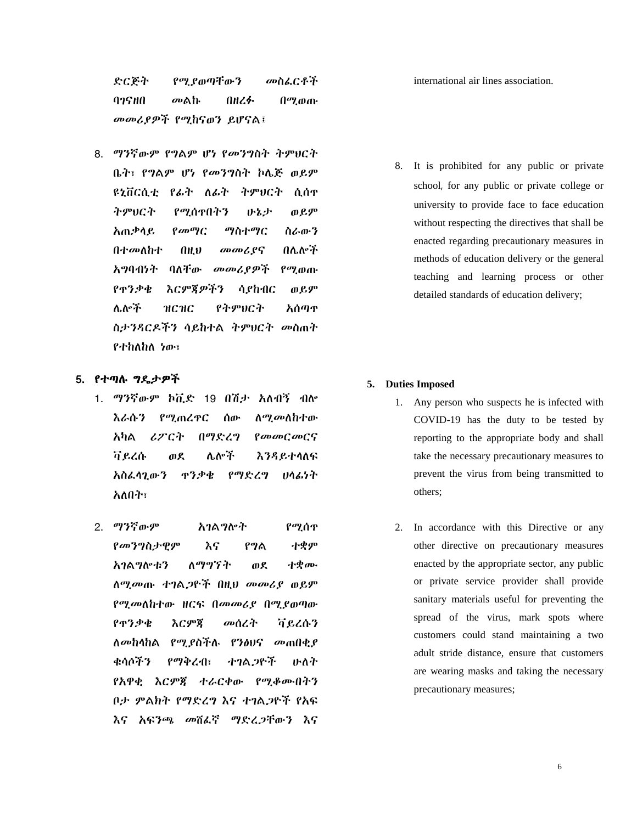ድርጅት የሚያወጣቸውን መስፌርቶች ባገናዘበ መሌኩ በዘረፈ በሚወጡ መመሪያዎች የሚከናወን ይሆናሌ፤

8. ማንኛውም የግሌም ሆነ የመንግስት ትምህርት ቤት፣ የግሌም ሆነ የመንግስት ኮላጅ ወይም ዩኒቨርሲቲ የፉት ሇፉት ትምህርት ሲሰጥ ትምህርት የሚሰጥበትን ሁኔታ ወይም አጠቃሊይ የመማር ማስተማር ስራውን በተመለከተ በዚህ መመሪያና በሌሎች አግባብነት ባሇቸው መመሪያዎች የሚወጡ የጥንቃቄ እርምጃዎችን ሳያከብር ወይም ላልች ዝርዝር የትምህርት አሰጣጥ ስታንዲርድችን ሳይከተሌ ትምህርት መስጠት የተከለከለ ነው፣

#### 5. የተጣለ ግዳታዎች

- 1. ማንኛውም ኮቪድ 19 በሽታ አለብኝ ብሎ እራሱን የሚጠረዋር ሰው ስ*ሚመ*ስከተው አካሌ ሪፖርት በማዴረግ የመመርመርና ቫይረሱ ወደ ሌሎች እንዳይተላለፍ አስፇሊጊውን ጥንቃቄ የማዴረግ ሀሊፉነት አለበት፣
- 2. ማንኛውም አገሌግልት የሚሰጥ የመንግስታዊም እና የግሌ ተቋም አገልግሎቱን ለማግኘት ወደ ተቋሙ ሇሚመጡ ተገሌጋዮች በዚህ መመሪያ ወይም የሚመሇከተው ዘርፌ በመመሪያ በሚያወጣው የጥንቃቄ እርምጃ መሰረት ቫይረሱን ሇመከሊከሌ የሚያስችለ የንፅህና መጠበቂያ ቁሳሶችን የማቅረብ፣ ተገልጋዮች ሁለት የአዋቂ እርምጃ ተራርቀው የሚቆሙበትን ቦታ ምልክት የማድረግ እና ተገልጋዮች የአፍ እና አፍንጫ መሸፊኛ ማድረጋቸውን እና

international air lines association.

8. It is prohibited for any public or private school, for any public or private college or university to provide face to face education without respecting the directives that shall be enacted regarding precautionary measures in methods of education delivery or the general teaching and learning process or other detailed standards of education delivery;

#### **5. Duties Imposed**

- 1. Any person who suspects he is infected with COVID-19 has the duty to be tested by reporting to the appropriate body and shall take the necessary precautionary measures to prevent the virus from being transmitted to others;
- 2. In accordance with this Directive or any other directive on precautionary measures enacted by the appropriate sector, any public or private service provider shall provide sanitary materials useful for preventing the spread of the virus, mark spots where customers could stand maintaining a two adult stride distance, ensure that customers are wearing masks and taking the necessary precautionary measures;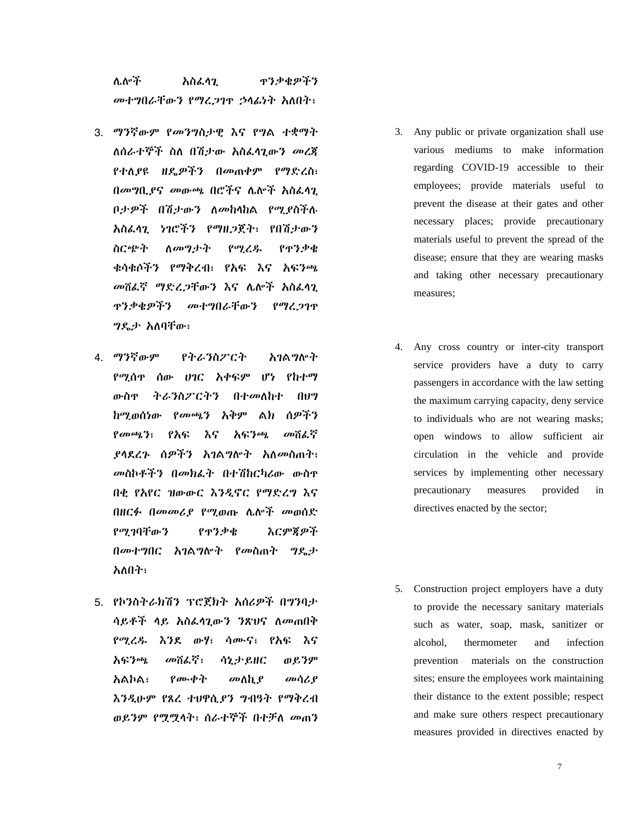ሌሎች አስፈላጊ ጥንቃቄዎችን መተግበራቸውን የማረጋገጥ ኃላፊነት አለበት፣

- 3. ማንኛውም የመንግስታዊ እና የግሌ ተቋማት ስሰራተኞች ስለ በሽታው አስፌሳጊውን መረጃ የተሇያዩ ዘዳዎችን በመጠቀም የማዴረስ፣ በመግቢያና መውጫ በሮችና ሌሎች አስፈላጊ ቦታዎች በሽታውን ሇመከሊከሌ የሚያስችለ አስፇሊጊ ነገሮችን የማዘጋጀት፣ የበሽታውን ስርጭት ለመግታት የሚረዱ የጥንቃቄ ቁሳቁሶችን የማቅረብ፣ የአፍ እና አፍንጫ መሸፌኛ ማድረጋቸውን እና ሌሎች አስፌሳጊ ጥንቃቄዎችን መተግበራቸውን የማረጋገጥ ግዳታ አሇባቸው፣
- 4. ማንኛውም የትራንስፖርት አገሌግልት የሚሰዋ ሰው ሀገር አቀፍም ሆነ የከተማ ውስጥ ትራንስፖርትን በተመሇከተ በህግ ከሚወሰነው የመጫን አቅም ሌክ ሰዎችን የመጫን፣ የአፍ እና አፍንጫ መሸፌኛ ያላደረጉ ሰዎችን አገልግሎት አለመስጠት፣ መስኮቶችን በመክፌት በተሽከርካሪው ውስዋ በቂ የአየር ዝውውር እንዱኖር የማዴረግ እና በዘርፈ በመመሪያ የሚወጡ ላልች መወሰዴ የሚገባቸውን የጥንቃቄ እርምጃዎች በመተግበር አገሌግልት የመስጠት ግዳታ አለበት፣
- 5. የኮንስትራክሽን ፕሮጀክት አሰሪዎች በግንባታ ሳይቶች ላይ አስፌኅጊውን ንጽህና ለመጠበቅ የሚረዱ እንደ ውሃ፣ ሳሙና፣ የአፍ እና አፍንጫ መሸፌኛ፣ ሳኒታይዘር ወይንም አሌኮሌ፣ የሙቀት መሇኪያ መሳሪያ እንዱሁም የጸረ ተህዋሲያን ግብዓት የማቅረብ ወይንም የሟሟላት፣ ሰራተኞች በተቻለ መጠን
- 3. Any public or private organization shall use various mediums to make information regarding COVID-19 accessible to their employees; provide materials useful to prevent the disease at their gates and other necessary places; provide precautionary materials useful to prevent the spread of the disease; ensure that they are wearing masks and taking other necessary precautionary measures;
- 4. Any cross country or inter-city transport service providers have a duty to carry passengers in accordance with the law setting the maximum carrying capacity, deny service to individuals who are not wearing masks; open windows to allow sufficient air circulation in the vehicle and provide services by implementing other necessary precautionary measures provided in directives enacted by the sector;
- 5. Construction project employers have a duty to provide the necessary sanitary materials such as water, soap, mask, sanitizer or alcohol, thermometer and infection prevention materials on the construction sites; ensure the employees work maintaining their distance to the extent possible; respect and make sure others respect precautionary measures provided in directives enacted by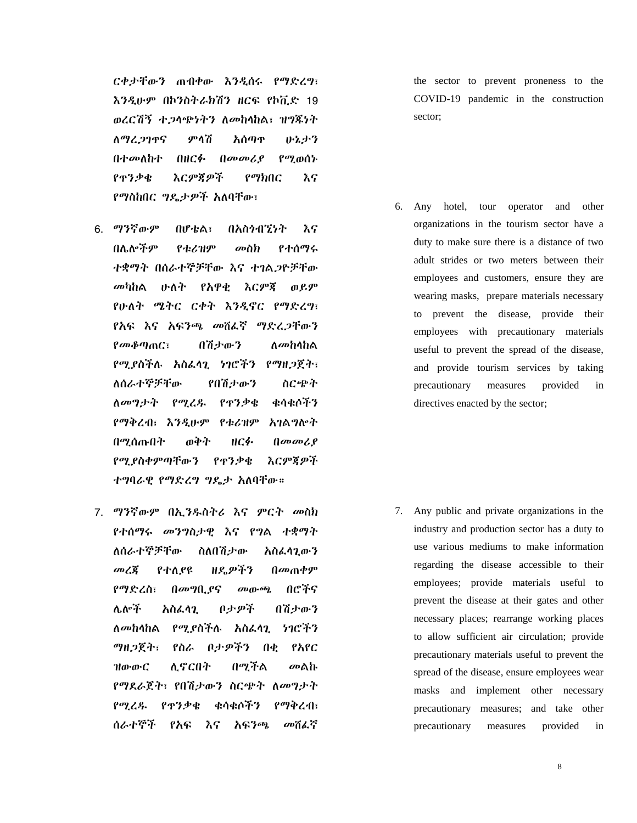ርቀታቸውን ጠብቀው እንዱሰሩ የማዴረግ፣ እንዲሁም በኮንስትራክሽን ዘርፍ የኮቪድ 19 ወረርሽኝ ተጋላጭነትን ለመከላከል፣ ዝግጁነት ሇማረጋገጥና ምሊሽ አሰጣጥ ሁኔታን በተመለከተ በዘርፉ በመመሪያ የሚወሰኑ የጥንቃቄ እርምጃዎች የማክበር እና የማስከበር ግዴታዎች አለባቸው፣

- 6. ማንኛውም በሆቴሌ፣ በአስጎብኚነት እና በላልችም የቱሪዝም መስክ የተሰማሩ ተቋማት በሰራተኞቻቸው እና ተገሌጋዮቻቸው መካከል ሁለት የአዋቂ እርምጃ ወይም የሁለት ሜትር ርቀት እንዲኖር የማድረግ፣ የአፍ እና አፍንጫ መሸፌኛ ማድረጋቸውን የመቆጣጠር፣ በሽታውን ለመከላከል የሚያስችሉ አስፌሳጊ ነገሮችን የማዘጋጀት፣ ሇሰራተኞቻቸው የበሽታውን ስርጭት ስመግታት የሚረዱ የጥንቃቄ ቁሳቁሶችን የማቅረብ፣ እንዱሁም የቱሪዝም አገሌግልት በሚሰጡበት ወቅት ዘርፈ በመመሪያ የሚያስቀምጣቸውን የጥንቃቄ እርምጃዎች ተግባራዊ የማድረግ ግዴታ አለባቸው።
- 7. ማንኛውም በኢንደስትሪ እና ምርት መስክ የተሰማሩ መንግስታዊ እና የግሌ ተቋማት ለሰራተኞቻቸው ስለበሽታው አስፌላጊውን መረጃ የተለያዩ ዘዴዎችን በመጠቀም የማዴረስ፣ በመግቢያና መውጫ በሮችና ሌሎች አስፈላጊ ቦታዎች በሽታውን ለመከላከል የሚያስችሉ አስፌሳጊ ነገሮችን ማዘጋጀት፣ የስራ ቦታዎችን በቂ የአየር ዝውውር ሉኖርበት በሚችሌ መሌኩ የማደራጀት፣ የበሽታውን ስርጭት ለመግታት የሚረደ የጥንቃቄ ቁሳቁሶችን የማቅረብ፣ ሰራተኞች የአፍ እና አፍንጫ መሸፈኛ

the sector to prevent proneness to the COVID-19 pandemic in the construction sector;

6. Any hotel, tour operator and other organizations in the tourism sector have a duty to make sure there is a distance of two adult strides or two meters between their employees and customers, ensure they are wearing masks, prepare materials necessary to prevent the disease, provide their employees with precautionary materials useful to prevent the spread of the disease, and provide tourism services by taking precautionary measures provided in directives enacted by the sector;

7. Any public and private organizations in the industry and production sector has a duty to use various mediums to make information regarding the disease accessible to their employees; provide materials useful to prevent the disease at their gates and other necessary places; rearrange working places to allow sufficient air circulation; provide precautionary materials useful to prevent the spread of the disease, ensure employees wear masks and implement other necessary precautionary measures; and take other precautionary measures provided in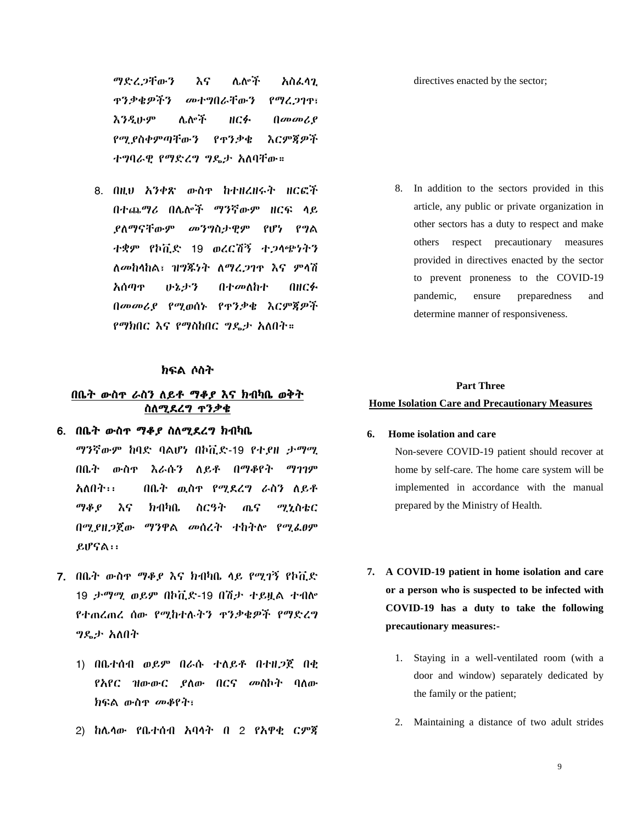ማድረጋቸውን እና ሌሎች አስፈላጊ ጥንቃቄዎችን መተግበራቸውን የማረጋገጥ፣ እንዱሁም ላልች ዘርፈ በመመሪያ የሚያስቀምጣቸውን የጥንቃቄ እርምጃዎች ተግባራዊ የማድረግ ግዴታ አለባቸው።

8. በዚህ አንቀጽ ውስጥ ከተዘረዘሩት ዘርፍች በተጨማሪ በሌሎች ማንኛውም ዘርፍ ላይ ያሇማናቸውም መንግስታዊም የሆነ የግሌ ተቋም የኮቪዴ 19 ወረርሽኝ ተጋሊጭነትን ለመከላከል፣ ዝግጁነት ለማረጋገጥ እና ምላሽ አሰጣጥ ሁኔታን በተመለከተ በዘርፉ በመመሪያ የሚወሰኑ የጥንቃቄ እርምጃዎች የማክበር እና የማስከበር ግዴታ አለበት።

#### ክፍል ሶስት

### በቤት ውስጥ ራስን ለይቶ ማቆያ እና ክብካቤ ወቅት ስለሚደረግ ጥንቃቄ

6. በቤት ውስጥ ማቆ*ያ* ስለሚደረግ ክብካቤ

ማንኛውም ከባዴ ባሌሆነ በኮቪዴ-19 የተያዘ ታማሚ በቤት ውስጥ እራሱን ሇይቶ በማቆየት ማገገም አለበት፡፡ ወቤት ዉስጥ የሚደረግ ራስን ለይቶ ማቆያ እና ክብካቤ ስርዓት ጤና ሚኒስቴር በሚያዘጋጀው ማንዋል መሰረት ተከትሎ የሚፌፀም ይሆናሌ፡፡

- 7. በቤት ውስጥ ማቆያ እና ክብካቤ ሊይ የሚገኝ የኮቪዴ 19 ታማሚ ወይም በኮቪዴ-19 በሽታ ተይዟሌ ተብል የተጠረጠረ ሰው የሚከተለትን ጥንቃቄዎች የማዴረግ ግዳታ አሇበት
	- 1) በቤተሰብ ወይም በራሱ ተለይቶ በተዘጋጀ በቂ የአየር ዝውውር ያለው በርና መስኮት ባለው ክፍል ውስጥ መቆየት፣
	- 2) ከላሊው የቤተሰብ አባሊት በ 2 የአዋቂ ርምጃ

directives enacted by the sector;

8. In addition to the sectors provided in this article, any public or private organization in other sectors has a duty to respect and make others respect precautionary measures provided in directives enacted by the sector to prevent proneness to the COVID-19 pandemic, ensure preparedness and determine manner of responsiveness.

# **Part Three Home Isolation Care and Precautionary Measures**

#### **6. Home isolation and care**

Non-severe COVID-19 patient should recover at home by self-care. The home care system will be implemented in accordance with the manual prepared by the Ministry of Health.

- **7. A COVID-19 patient in home isolation and care or a person who is suspected to be infected with COVID-19 has a duty to take the following precautionary measures:-**
	- 1. Staying in a well-ventilated room (with a door and window) separately dedicated by the family or the patient;
	- 2. Maintaining a distance of two adult strides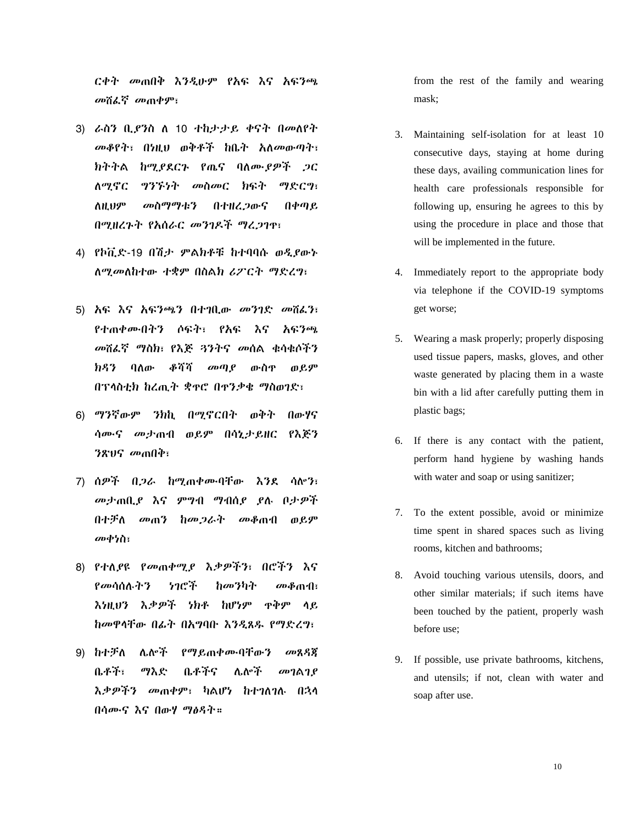ርቀት መጠበቅ እንዲሁም የአፍ እና አፍንጫ መሸፌኛ መጠቀም፣

- 3) ራስን ቢያንስ ለ 10 ተከታታይ ቀናት በመለየት መቆየት፣ በነዚህ ወቅቶች ከቤት አለመውጣት፣ ክትትል ከሚያደርጉ የጤና ባለሙያዎች ጋር ሇሚኖር ግንኙነት መስመር ክፌት ማዴርግ፣ ሇዚህም መስማማቱን በተዘረጋውና በቀጣይ በሚዘረጉት የአሰራር መንገድች ማረጋገጥ፣
- 4) የኮቪዴ-19 በሽታ ምሌክቶቹ ከተባባሱ ወዱያውኑ ሇሚመሇከተው ተቋም በስሌክ ሪፖርት ማዴረግ፣
- 5) አፍ እና አፍንጫን በተገቢው መንገድ መሸፌን፣ የተጠቀሙበትን ሶፍት፣ የአፍ እና አፍንጫ መሸፌኛ ማስክ፣ የእጅ ጓንትና መሰል ቁሳቁሶችን ክዳን ባለው ቆሻሻ መጣይ ውስጥ ወይም በፕሊስቲክ ከረጢት ቋጥሮ በጥንቃቄ ማስወገዴ፣
- 6) ማንኛውም ንክኪ በሚኖርበት ወቅት በውሃና ሳሙና መታጠብ ወይም በሳኒታይዘር የእጅን ንጽህና መጠበቅ፣
- 7) ሰዎች በ*ጋራ* ከሚጠቀሙባቸው እንደ ሳሎን፣ መታጠቢያ እና ምግብ ማብሰያ ያለ ቦታዎች በተቻለ መጠን ከመጋራት መቆጠብ ወይም መቀነስ፣
- 8) የተሇያዩ የመጠቀሚያ እቃዎችን፣ በሮችን እና የመሳሰለትን ነገሮች ከመንካት መቆጠብ፣ እነዚህን እቃዎች ነክቶ ከሆነም ጥቅም ሊይ ከመዋሊቸው በፉት በአግባቡ እንዱጸደ የማዴረግ፣
- 9) ከተቻለ ሌሎች የማይጠቀሙባቸውን መጸዳጃ ቤቶች፣ ማእዴ ቤቶችና ላልች መገሌገያ እቃዎችን መጠቀም፣ ካልሆነ ከተገለገለ በኋላ በሳሙና እና በውሃ ማፅዲት።

from the rest of the family and wearing mask;

- 3. Maintaining self-isolation for at least 10 consecutive days, staying at home during these days, availing communication lines for health care professionals responsible for following up, ensuring he agrees to this by using the procedure in place and those that will be implemented in the future.
- 4. Immediately report to the appropriate body via telephone if the COVID-19 symptoms get worse;
- 5. Wearing a mask properly; properly disposing used tissue papers, masks, gloves, and other waste generated by placing them in a waste bin with a lid after carefully putting them in plastic bags;
- 6. If there is any contact with the patient, perform hand hygiene by washing hands with water and soap or using sanitizer;
- 7. To the extent possible, avoid or minimize time spent in shared spaces such as living rooms, kitchen and bathrooms;
- 8. Avoid touching various utensils, doors, and other similar materials; if such items have been touched by the patient, properly wash before use;
- 9. If possible, use private bathrooms, kitchens, and utensils; if not, clean with water and soap after use.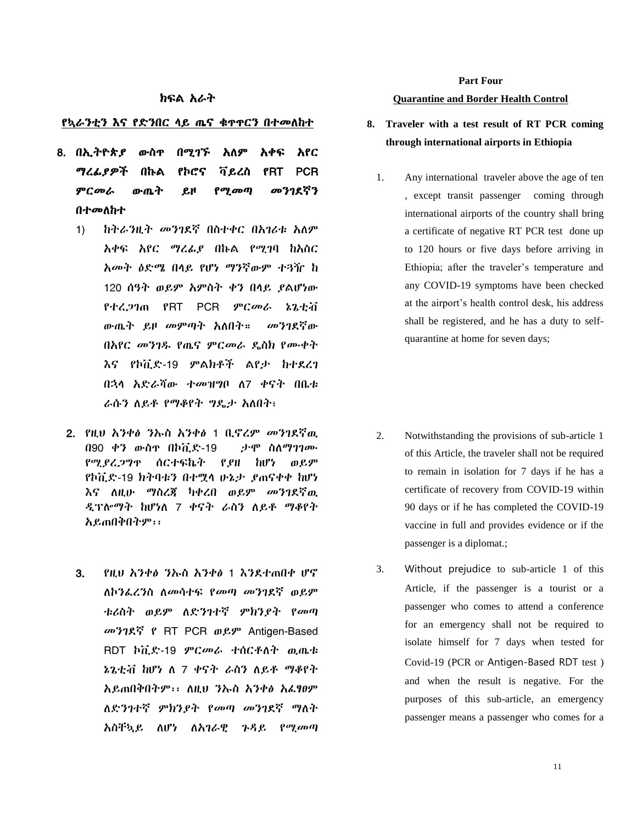#### ክፍል አራት

#### የኳራንቲን እና የድንበር ላይ ጤና ቁጥጥርን በተመለከተ

- 8. በኢትዮጵያ ውስጥ በሚገኙ አለም አቀፍ አየር ማረፉያዎች በኩሌ የኮሮና ቫይረስ የRT PCR ምርመራ ውጤት ይዞ የሚመጣ መንገዯኛን በተመለከተ
	- 1) ከትራንዚት መንገደኛ በስተቀር በአገሪቱ አለም አቀፍ አየር ማረራያ በኩል የሚገባ ከአስር አመት ዕዴሜ በሊይ የሆነ ማንኛውም ተጓዥ ከ 120 ሰዓት ወይም አምስት ቀን በሊይ ያሌሆነው የተረጋገጠ የRT PCR ምርመራ ኔጌቲቭ ውጤት ይዞ መምጣት አለበት። መንገደኛው በአየር መንገዱ የጤና ምርመራ ዴስክ የሙቀት እና የኮቪድ-19 ምልክቶች ልየታ ከተደረገ በኋላ አድራሻው ተመዝግቦ ለ7 ቀናት በቤቱ ራሱን ለይቶ የማቆየት ግዴታ አለበት፣
	- 2. የዚህ አንቀፅ ንኡስ አንቀፅ 1 ቢኖረም መንገደኛዉ በ90 ቀን ውስዋ በኮቪድ-19 ታሞ ስለማገገሙ የሚያረጋግጥ ሰርተፍኬት የያዘ ከሆነ ወይም የኮቪዴ-19 ክትባቱን በተሟሊ ሁኔታ ያጠናቀቀ ከሆነ እና ለዚሁ ማስረጃ ካቀረበ ወይም መንገደኛዉ ዲፕሎማት ከሆነለ 7 ቀናት ራስን ለይቶ ማቆየት አይጠበቅበትም፡፡
		- 3. የዚህ አንቀፅ ንኡስ አንቀፅ 1 እንደተጠበቀ ሆኖ ለኮንፌረንስ ለመሳተፍ የመጣ መንገደኛ ወይም ቱሪስት ወይም ለድንገተኛ ምክንያት የመጣ መንገዯኛ የ RT PCR ወይም Antigen-Based RDT ኮቪድ-19 ምር*መ*ራ ተሰርቶለት ዉጤቱ ኔጌቲቭ ከሆነ ለ 7 ቀናት ራስን ለይቶ ማቆየት አይጠበቅበትም፡፡ ለዚህ ንኡስ አንቀፅ አፌፃፀም ለድንገተኛ ምክንያት የመጣ መንገደኛ ማለት አስቸኳይ ለሆነ ለአገራዊ ጉዳይ የ*ሚመ*ጣ

### **Part Four Quarantine and Border Health Control**

- **8. Traveler with a test result of RT PCR coming through international airports in Ethiopia** 
	- 1. Any international traveler above the age of ten , except transit passenger coming through international airports of the country shall bring a certificate of negative RT PCR test done up to 120 hours or five days before arriving in Ethiopia; after the traveler's temperature and any COVID-19 symptoms have been checked at the airport's health control desk, his address shall be registered, and he has a duty to selfquarantine at home for seven days;

- 2. Notwithstanding the provisions of sub-article 1 of this Article, the traveler shall not be required to remain in isolation for 7 days if he has a certificate of recovery from COVID-19 within 90 days or if he has completed the COVID-19 vaccine in full and provides evidence or if the passenger is a diplomat.;
- 3. Without prejudice to sub-article 1 of this Article, if the passenger is a tourist or a passenger who comes to attend a conference for an emergency shall not be required to isolate himself for 7 days when tested for Covid-19 (PCR or Antigen-Based RDT test ) and when the result is negative. For the purposes of this sub-article, an emergency passenger means a passenger who comes for a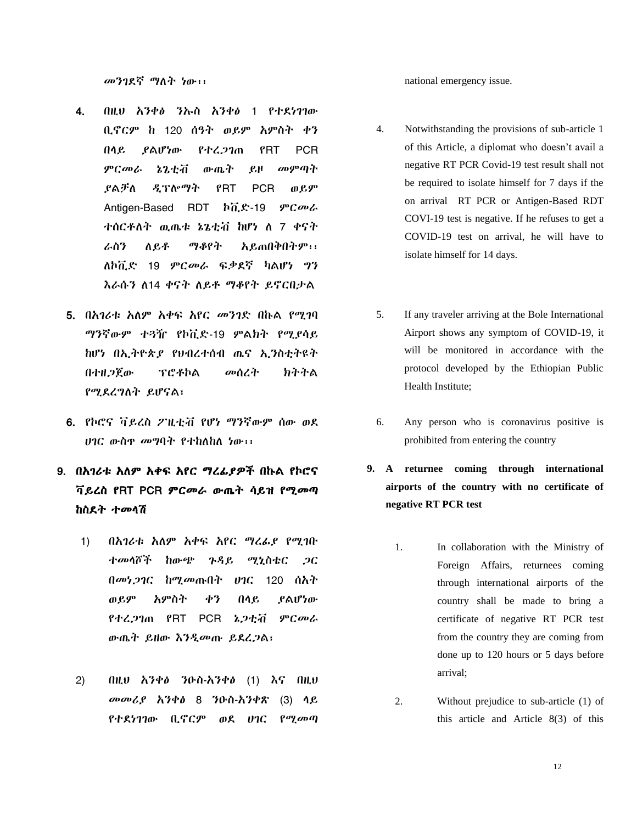መንገደኛ ማስት ነው፡፡

- 4. በዚህ አንቀፅ ንኡስ አንቀፅ 1 የተደነገገው ቢኖርም ከ 120 ሰዓት ወይም አምስት ቀን በሊይ ያሌሆነው የተረጋገጠ የRT PCR ምርመራ ኔጌቲቭ ውጤት ይዞ መምጣት ያልቻለ *ዲ*ፕሎማት የRT PCR ወይም Antigen-Based RDT ኮቪዴ-19 ምርመራ ተሰርቶለት ዉጤቱ ኔጌቲቭ ከሆነ ለ 7 ቀናት ራስን ሇይቶ ማቆየት አይጠበቅበትም፡፡ ሇኮቪዴ 19 ምርመራ ፌቃዯኛ ካሌሆነ ግን እራሱን ለ14 ቀናት ለይቶ ማቆየት ይኖርበታል
- 5. በአገሪቱ አለም አቀፍ አየር መንገድ በኩል የሚገባ ማንኛውም ተጓዥ የኮቪዴ-19 ምሌክት የሚያሳይ ከሆነ በኢትዮጵያ የህብረተሰብ ጤና ኢንስቲትዩት በተዘጋጀው ፕሮቶኮሌ መሰረት ክትትሌ የሚደረግለት ይሆናል፣
- 6. የኮሮና ቫይረስ ፖዚቲቭ የሆነ ማንኛውም ሰው ወዯ ሀገር ውስዋ መግባት የተከለከለ ነው፡፡
- 9. በአገሪቱ አለም አቀፍ አየር ማረፊያዎች በኩል የኮሮና ቫይረስ የRT PCR ምርመራ ውጤት ሳይዝ የሚመጣ ከስደት ተመላሽ
	- 1) በአገሪቱ አለም አቀፍ አየር ማረፊያ የሚገቡ ተመሊሾች ከውጭ ጉዲይ ሚኒስቴር ጋር በመነጋገር ከሚመጡበት ሀገር 120 ሰአት ወይም አምስት ቀን በሊይ ያሌሆነው የተረጋገጠ የRT PCR ኔጋቲቭ ምርመራ ውጤት ይዘው እንዲመጡ ይደረጋል፣
	- 2) በዚህ አንቀፅ ንዑስ-አንቀፅ (1) እና በዚህ መመሪያ አንቀፅ 8 ንዑስ-አንቀጽ (3) ሊይ የተደነገገው ቢኖርም ወደ ሀገር የሚመጣ

national emergency issue.

- 4. Notwithstanding the provisions of sub-article 1 of this Article, a diplomat who doesn't avail a negative RT PCR Covid-19 test result shall not be required to isolate himself for 7 days if the on arrival RT PCR or Antigen-Based RDT COVI-19 test is negative. If he refuses to get a COVID-19 test on arrival, he will have to isolate himself for 14 days.
- 5. If any traveler arriving at the Bole International Airport shows any symptom of COVID-19, it will be monitored in accordance with the protocol developed by the Ethiopian Public Health Institute;
- 6. Any person who is coronavirus positive is prohibited from entering the country
- **9. A returnee coming through international airports of the country with no certificate of negative RT PCR test**
	- 1. In collaboration with the Ministry of Foreign Affairs, returnees coming through international airports of the country shall be made to bring a certificate of negative RT PCR test from the country they are coming from done up to 120 hours or 5 days before arrival;
	- 2. Without prejudice to sub-article (1) of this article and Article 8(3) of this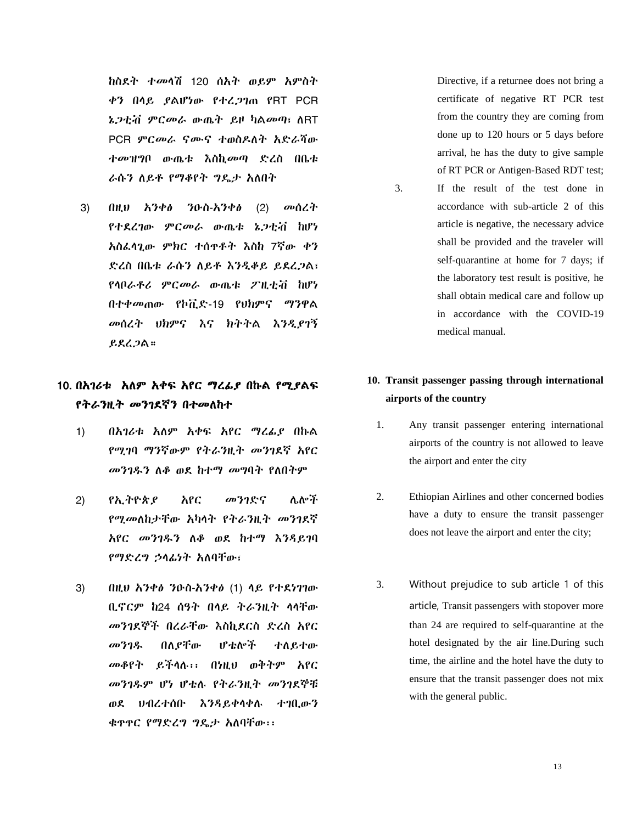ከስዯት ተመሊሽ 120 ሰአት ወይም አምስት ቀን በሊይ ያሌሆነው የተረጋገጠ የRT PCR ኔ*ጋ*ቲቭ *ምርመ*ራ ውጤት ይዞ ካልመጣ፣ ለRT PCR ምርመራ ናሙና ተወስዶለት አድራሻው ተመዝግቦ ውጤቱ እስኪመጣ ዴረስ በቤቱ ራሱን ለይቶ የማቆየት ግዴታ አለበት

3) በዚህ አንቀፅ ንዑስ-አንቀፅ (2) መሰረት የተዯረገው ምርመራ ውጤቱ ኔጋቲቭ ከሆነ አስፇሊጊው ምክር ተሰጥቶት እስከ 7ኛው ቀን ድረስ በቤቱ ራሱን ለይቶ እንዲቆይ ይደረጋል፣ የሊቦራቶሪ ምርመራ ውጤቱ ፖዚቲቭ ከሆነ በተቀመጠው የኮቪዴ-19 የህክምና ማንዋሌ መሰረት ህክምና እና ክትትሌ እንዱያገኝ ይደረጋል።

# 10. በአገሪቱ አለም አቀፍ አየር ማረፊያ በኩል የሚያልፍ የትራንዚት መንገደኛን በተመለከተ

- 1) በአገሪቱ አለም አቀፍ አየር ማረፊያ በኩል የሚገባ ማንኛውም የትራንዚት መንገዯኛ አየር መንገዱን ለቆ ወደ ከተማ መግባት የለበትም
- 2) የኢትዮጵያ አየር መንገዴና ላልች የሚመለከታቸው አካላት የትራንዚት መንገደኛ አየር መንገደን ሇቆ ወዯ ከተማ እንዲይገባ የማድረግ ኃላፊነት አለባቸው፣
- 3) በዚህ አንቀፅ ንዑስ-አንቀፅ (1) ላይ የተደነገገው ቢኖርም ከ24 ሰዓት በሊይ ትራንዚት ሊሊቸው መንገዯኞች በረራቸው እስኪዯርስ ዴረስ አየር መንገዴ በለየቸው ሆቴልግች ተለይተው መቆየት ይችሊለ፡፡ በነዚህ ወቅትም አየር መንገዱም ሆነ ሆቴሉ የትራንዚት መንገደኞቹ ወደ ህብረተሰቡ እንዳይቀላቀሉ ተገቢውን ቁዋዋር የማድረግ ግዴታ አለባቸው፡፡

Directive, if a returnee does not bring a certificate of negative RT PCR test from the country they are coming from done up to 120 hours or 5 days before arrival, he has the duty to give sample of RT PCR or Antigen-Based RDT test; 3. If the result of the test done in accordance with sub-article 2 of this article is negative, the necessary advice shall be provided and the traveler will self-quarantine at home for 7 days; if the laboratory test result is positive, he shall obtain medical care and follow up in accordance with the COVID-19 medical manual.

# **10. Transit passenger passing through international airports of the country**

- 1. Any transit passenger entering international airports of the country is not allowed to leave the airport and enter the city
- 2. Ethiopian Airlines and other concerned bodies have a duty to ensure the transit passenger does not leave the airport and enter the city;
- 3. Without prejudice to sub article 1 of this article, Transit passengers with stopover more than 24 are required to self-quarantine at the hotel designated by the air line.During such time, the airline and the hotel have the duty to ensure that the transit passenger does not mix with the general public.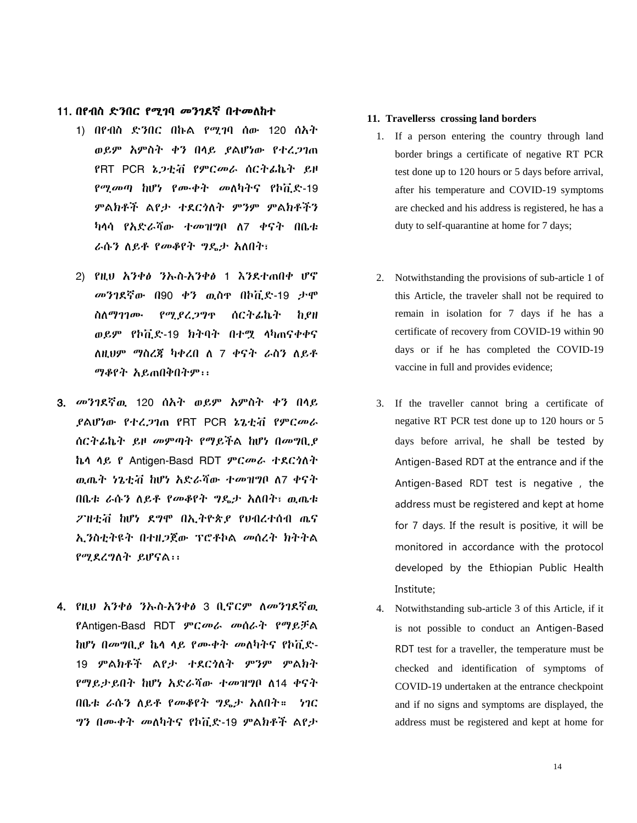#### 11. በየብስ ድንበር የሚገባ መንገደኛ በተመለከተ

- 1) በየብስ ዴንበር በኩሌ የሚገባ ሰው 120 ሰአት ወይም አምስት ቀን በሊይ ያሌሆነው የተረጋገጠ የRT PCR ኔጋቲቭ የምርመራ ሰርትፉኬት ይዞ የሚመጣ ከሆነ የሙቀት መሇካትና የኮቪዴ-19 ምልክቶች ልየታ ተደርጎለት ምንም ምልክቶችን ካላሳ የአድራሻው ተመዝግቦ ለ7 ቀናት በቤቱ ራሱን ለይቶ የመቆየት ግዴታ አለበት፣
- 2) የዚህ አንቀፅ ንኡስ-አንቀፅ 1 እንደተጠበቀ ሆኖ መንገዯኛው በ90 ቀን ዉስጥ በኮቪዴ-19 ታሞ ስስማገገሙ የሚያረጋግዋ ሰርትፊኬት ከያዘ ወይም የኮቪዴ-19 ክትባት በተሟ ሊካጠናቀቀና ለዚህም ማስረጃ ካቀረበ ለ 7 ቀናት ራስን ለይቶ ማቆየት አይጠበቅበትም፡፡
- 3. መንገዯኛዉ 120 ሰአት ወይም አምስት ቀን በሊይ ያሌሆነው የተረጋገጠ የRT PCR ኔጌቲቭ የምርመራ ሰርትፉኬት ይዞ መምጣት የማይችሌ ከሆነ በመግቢያ ኬላ ላይ የ Antigen-Basd RDT ምርመራ ተደርጎለት ዉጤት ነጌቲቭ ከሆነ አድራሻው ተመዝግቦ ለ7 ቀናት በቤቱ ራሱን ለይቶ የመቆየት ግዴታ አለበት፣ ዉጤቱ ፖዘቲቭ ከሆነ ዯግሞ በኢትዮጵያ የህብረተሰብ ጤና ኢንስቲትዩት በተዘጋጀው ፕሮቶኮሌ መሰረት ክትትሌ የሚዯረግሇት ይሆናሌ፡፡
- 4. የዚህ አንቀፅ ንኡስ-አንቀፅ 3 ቢኖርም ለመንገደኛዉ የAntigen-Basd RDT ምርመራ መሰራት የማይቻሌ ከሆነ በመግቢያ ኬሊ ሊይ የሙቀት መሇካትና የኮቪዴ-19 ምልክቶች ልየታ ተደርጎለት ምንም ምልክት የማይታይበት ከሆነ አድራሻው ተመዝግቦ ለ14 ቀናት በቤቱ ራሱን ለይቶ የመቆየት ግዴታ አለበት። ነገር ግን በሙቀት መሇካትና የኮቪዴ-19 ምሌክቶች ሌየታ

#### **11. Travellerss crossing land borders**

- 1. If a person entering the country through land border brings a certificate of negative RT PCR test done up to 120 hours or 5 days before arrival, after his temperature and COVID-19 symptoms are checked and his address is registered, he has a duty to self-quarantine at home for 7 days;
- 2. Notwithstanding the provisions of sub-article 1 of this Article, the traveler shall not be required to remain in isolation for 7 days if he has a certificate of recovery from COVID-19 within 90 days or if he has completed the COVID-19 vaccine in full and provides evidence;
- 3. If the traveller cannot bring a certificate of negative RT PCR test done up to 120 hours or 5 days before arrival, he shall be tested by Antigen-Based RDT at the entrance and if the Antigen-Based RDT test is negative , the address must be registered and kept at home for 7 days. If the result is positive, it will be monitored in accordance with the protocol developed by the Ethiopian Public Health Institute;
- 4. Notwithstanding sub-article 3 of this Article, if it is not possible to conduct an Antigen-Based RDT test for a traveller, the temperature must be checked and identification of symptoms of COVID-19 undertaken at the entrance checkpoint and if no signs and symptoms are displayed, the address must be registered and kept at home for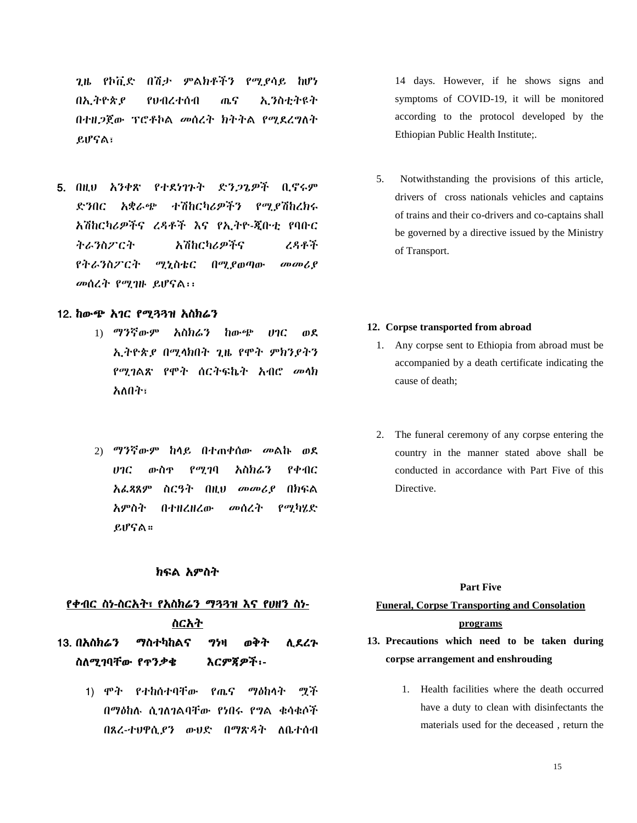ጊዜ የኮቪዴ በሽታ ምሌክቶችን የሚያሳይ ከሆነ በኢትዮጵያ የህብረተሰብ ጤና ኢንስቲትዩት በተዘጋጀው ፕሮቶኮል መሰረት ክትትል የሚደረግለት ይሆናሌ፣

5. በዚህ አንቀጽ የተደነገጉት ድንጋጌዎች ቢኖሩም ዴንበር አቋራጭ ተሽከርካሪዎችን የሚያሽከረክሩ አሽከርካሪዎችና ረዲቶች እና የኢትዮ-ጂቡቲ የባቡር ትራንስፖርት አሽከርካሪዎችና ረዳቶች የትራንስፖርት ሚኒስቴር በሚያወጣው መመሪያ መሰረት የሚገዙ ይሆናሌ፡፡

#### 12. ከውጭ አገር የሚጓጓዝ አስክሬን

- 1) ማንኛውም አስክሬን ከውጭ ሀገር ወዯ ኢትዮጵያ በሚሊክበት ጊዜ የሞት ምክንያትን የሚገልጽ የሞት ሰርትፍኬት አብሮ መላክ አለበት፣
- 2) ማንኛውም ከላይ በተጠቀሰው መልኩ ወደ ሀገር ውስጥ የሚገባ አስክሬን የቀብር አፌጻጸም ስርዓት በዚህ መመሪያ በክፍል አምስት በተዘረዘረው መሰረት የሚካሄዴ ይሆናሌ።

### ክፍል አምስት

# የቀብር ስነ-ስርአት፣ የአስክሬን ማጓጓዝ እና የሀዘን ስነ-ስርአት

13. በአስክሬን ማስተካከልና ንዛ ወቅት ሲደረጉ ስሇሚገባቸው የጥንቃቄ እርምጃዎች፡-

> 1) ሞት የተከሰተባቸው የጤና ማዕከሊት ሟች በማዕከሉ ሲገለገልባቸው የነበሩ የግል ቁሳቁሶች በጸረ-ተህዋሲያን ውህድ በማጽዳት ለቤተሰብ

14 days. However, if he shows signs and symptoms of COVID-19, it will be monitored according to the protocol developed by the Ethiopian Public Health Institute;.

5. Notwithstanding the provisions of this article, drivers of cross nationals vehicles and captains of trains and their co-drivers and co-captains shall be governed by a directive issued by the Ministry of Transport.

#### **12. Corpse transported from abroad**

- 1. Any corpse sent to Ethiopia from abroad must be accompanied by a death certificate indicating the cause of death;
- 2. The funeral ceremony of any corpse entering the country in the manner stated above shall be conducted in accordance with Part Five of this Directive.

#### **Part Five**

### **Funeral, Corpse Transporting and Consolation programs**

- **13. Precautions which need to be taken during corpse arrangement and enshrouding**
	- 1. Health facilities where the death occurred have a duty to clean with disinfectants the materials used for the deceased , return the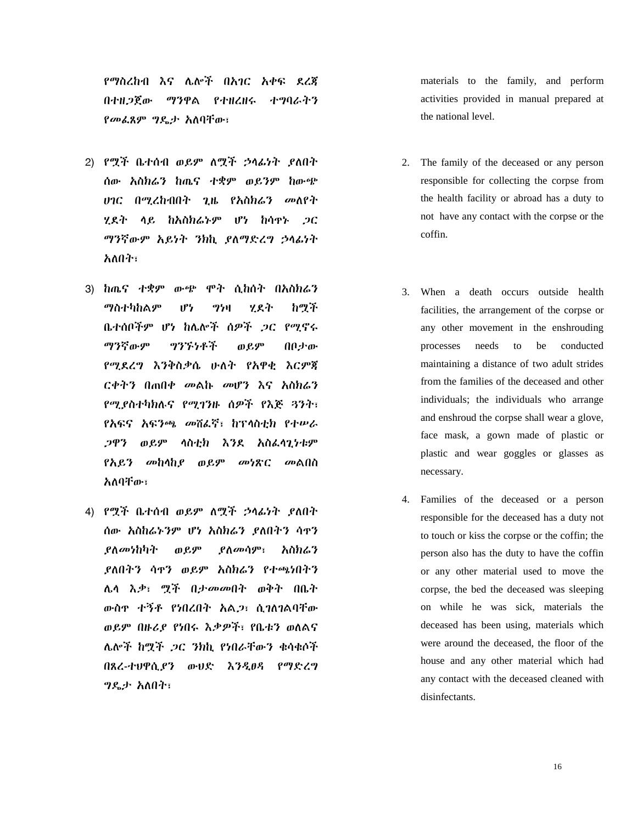የማስረከብ እና ሌሎች በአገር አቀፍ ደረጃ በተዘጋጀው ማንዋሌ የተዘረዘሩ ተግባራትን የመራጸም ግዴታ አለባቸው፣

- 2) የሟች ቤተሰብ ወይም ስሟች ኃላፊነት ያለበት ሰው አስክሬን ከጤና ተቋም ወይንም ከውጭ ሀገር በሚረከብበት ጊዜ የአስክሬን መለየት ሂደት ላይ ከአስክሬኑም ሆነ ከሳዋኑ *ጋ*ር ማንኛውም አይነት ንክኪ ያለማድረግ ኃላፊነት አለበት፣
- 3) ከጤና ተቋም ውጭ ሞት ሲከሰት በአስክሬን ማስተካከልም ሆነ ግነዛ ሂደት ከሟች ቤተሰቦችም ሆነ ከላልች ሰዎች ጋር የሚኖሩ ማንኛውም ግንኙነቶች ወይም በቦታው የሚደረግ እንቅስቃሴ ሁለት የአዋቂ እርምጃ ርቀትን በጠበቀ መሌኩ መሆን እና አስክሬን የሚያስተካክለና የሚገንዙ ሰዎች የእጅ ጓንት፣ የአፍና አፍንጫ መሸፌኛ፣ ከፕላስቲክ የተሠራ ጋዋን ወይም ላስቲክ እንደ አስፌሳጊነቱም የአይን መከሊከያ ወይም መነጽር መሌበስ አለባቸው፣
- 4) የሟች ቤተሰብ ወይም ለሟች ኃላፊነት ያለበት ሰው አስከሬኑንም ሆነ አስክሬን ያለበትን ሳዋን ያለመነከካት ወይም ያለመሳም፣ አስክሬን ያሇበትን ሳጥን ወይም አስክሬን የተጫነበትን ላሊ እቃ፣ ሟች በታመመበት ወቅት በቤት ውስጥ ተኝቶ የነበረበት አል*ጋ*፣ ሲ*ገ*ለገልባቸው ወይም በዙሪያ የነበሩ እቃዎች፣ የቤቱን ወስልና ላልች ከሟች ጋር ንክኪ የነበራቸውን ቁሳቁሶች በጸረ-ተህዋሲያን ውህዴ እንዱፀዲ የማዴረግ ግዳታ አሇበት፣

materials to the family, and perform activities provided in manual prepared at the national level.

- 2. The family of the deceased or any person responsible for collecting the corpse from the health facility or abroad has a duty to not have any contact with the corpse or the coffin.
- 3. When a death occurs outside health facilities, the arrangement of the corpse or any other movement in the enshrouding processes needs to be conducted maintaining a distance of two adult strides from the families of the deceased and other individuals; the individuals who arrange and enshroud the corpse shall wear a glove, face mask, a gown made of plastic or plastic and wear goggles or glasses as necessary.
- 4. Families of the deceased or a person responsible for the deceased has a duty not to touch or kiss the corpse or the coffin; the person also has the duty to have the coffin or any other material used to move the corpse, the bed the deceased was sleeping on while he was sick, materials the deceased has been using, materials which were around the deceased, the floor of the house and any other material which had any contact with the deceased cleaned with disinfectants.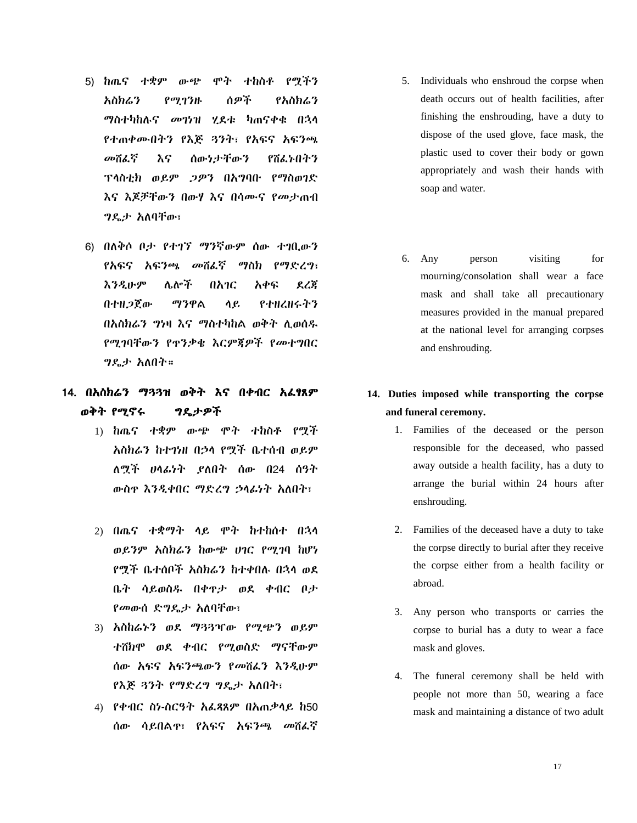- 5) ከጤና ተቋም ውጭ ሞት ተከስቶ የሟችን አስክሬን የሚገንዙ ሰዎች የአስክሬን ማስተካከለና መገነዝ ሂዯቱ ካጠናቀቁ በኋሊ የተጠቀሙበትን የእጅ ጓንት፣ የአፍና አፍንጫ መሸፌኛ እና ሰውነታቸውን የሸፌኑበትን ፕሊስቲክ ወይም ጋዎን በአግባቡ የማስወገዴ እና እጆቻቸውን በውሃ እና በሳሙና የመታጠብ ግዳታ አሇባቸው፣
- 6) በለቅሶ ቦታ የተገኘ ማንኛውም ሰው ተገቢውን የአፍና አፍንጫ መሸፌኛ ማስክ የማድረግ፣ እንዲሁም ሌሎች በአገር አቀፍ ደረጃ በተዘጋጀው ማንዋሌ ሊይ የተዘረዘሩትን በአስክሬን ግነዛ እና ማስተካከሌ ወቅት ሉወሰደ የሚገባቸውን የጥንቃቄ እርምጃዎች የመተግበር ግዳታ አሇበት።
- 14. በአስክሬን ማጓጓዝ ወቅት እና በቀብር አፈፃጸም ወቅት የሚኖሩ ግዳታዎች
	- 1) ከጤና ተቋም ውጭ ሞት ተከስቶ የሟች አስክሬን ከተገነዘ በኃሊ የሟች ቤተሰብ ወይም ሇሟች ሀሊፉነት ያሇበት ሰው በ24 ሰዓት ውስጥ እንዲቀበር ማድረግ ኃላፊነት አለበት፣
	- 2) በጤና ተቋማት ሊይ ሞት ከተከሰተ በኋሊ ወይንም አስክሬን ከውጭ ሀገር የሚገባ ከሆነ የሟች ቤተሰቦች አስክሬን ከተቀበሉ በኋላ ወደ ቤት ሳይወስደ በቀጥታ ወዯ ቀብር ቦታ የመውሰ ድግዴታ አለባቸው፣
	- 3) አስከሬኑን ወደ ማጓጓዣው የሚጭን ወይም ተሸክሞ ወደ ቀብር የሚወስድ ማናቸውም ሰው አፍና አፍንጫውን የመሸፌን እንዲሁም የእጅ ጓንት የማድረግ ግዴታ አለበት፣
	- 4) የቀብር ስነ-ስርዓት አፌጻጸም በአጠቃላይ ከ50 ሰው ሳይበልዋ፣ የአፍና አፍንጫ መሸፌኛ
- 5. Individuals who enshroud the corpse when death occurs out of health facilities, after finishing the enshrouding, have a duty to dispose of the used glove, face mask, the plastic used to cover their body or gown appropriately and wash their hands with soap and water.
- 6. Any person visiting for mourning/consolation shall wear a face mask and shall take all precautionary measures provided in the manual prepared at the national level for arranging corpses and enshrouding.
- **14. Duties imposed while transporting the corpse and funeral ceremony.** 
	- 1. Families of the deceased or the person responsible for the deceased, who passed away outside a health facility, has a duty to arrange the burial within 24 hours after enshrouding.
	- 2. Families of the deceased have a duty to take the corpse directly to burial after they receive the corpse either from a health facility or abroad.
	- 3. Any person who transports or carries the corpse to burial has a duty to wear a face mask and gloves.
	- 4. The funeral ceremony shall be held with people not more than 50, wearing a face mask and maintaining a distance of two adult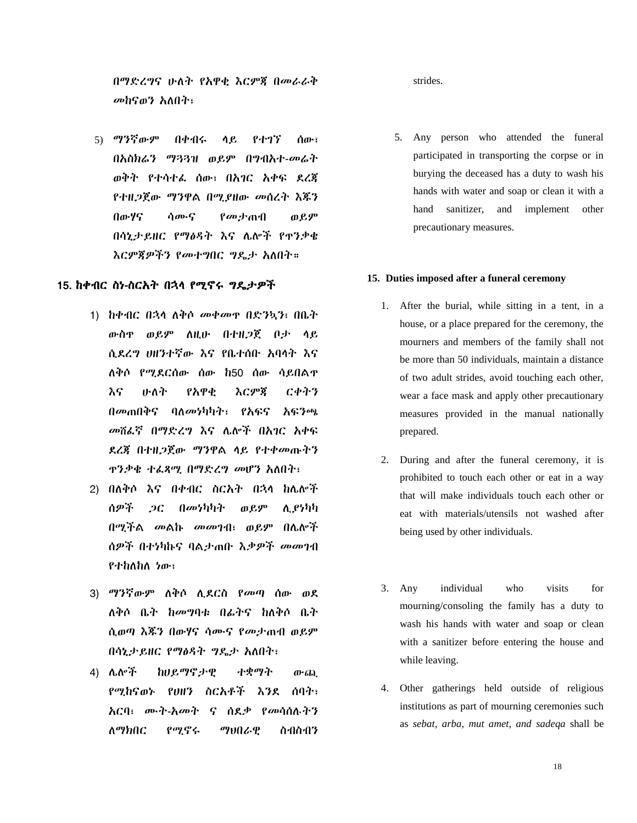በማድረግና ሁለት የአዋቂ እርምጃ በመራራቅ መከናወን አለበት፣

5) ማንኛውም በቀብሩ ሊይ የተገኘ ሰው፣ በአስክሬን ማጓጓዝ ወይም በግብአተ-መሬት ወቅት የተሳተፌ ሰው፣ በአገር አቀፍ ደረጃ የተዘጋጀው ማንዋሌ በሚያዘው መሰረት እጁን በውሃና ሳሙና የመታጠብ ወይም በሳኒታይዘር የማፅዲት እና ላልች የጥንቃቄ እርምጃዎችን የመተግበር ግዴታ አለበት።

#### 15. ከቀብር ስነ-ስርአት በኋሊ የሚኖሩ ግዳታዎች

- 1) ከቀብር በኋላ ለቅሶ መቀመጥ በድንኳን፣ በቤት ውስዋ ወይም ለዚሁ በተዘጋጀ ቦታ ላይ ሲደረግ ሀዘንተኛው እና የቤተሰቡ አባላት እና ሇቅሶ የሚዯርሰው ሰው ከ50 ሰው ሳይበሌጥ እና ሁለት የአዋቂ እርምጃ ርቀትን በመጠበቅና ባለመነካካት፣ የአፍና አፍንጫ መሸፌኛ በማድረግ እና ሌሎች በአገር አቀፍ ዯረጃ በተዘጋጀው ማንዋሌ ሊይ የተቀመጡትን ጥንቃቄ ተ*ሌጻሚ በማድረግ መ*ሆን አለበት፣
- 2) በለቅሶ እና በቀብር ስርአት በኋላ ከሌሎች ሰዎች ጋር በመነካካት ወይም ሉያነካካ በሚችሌ መሌኩ መመገብ፣ ወይም በላልች ሰዎች በተነካኩና ባሌታጠቡ እቃዎች መመገብ የተከለከለ ነው፣
- 3) ማንኛውም ለቅሶ ሲደርስ የመጣ ሰው ወደ ለቅሶ ቤት ከመግባቱ በፊትና ከለቅሶ ቤት ሲወጣ እጁን በውሃና ሳሙና የመታጠብ ወይም በሳኒታይዘር የማፅዳት ግዴታ አለበት፣
- 4) ላልች ከሀይማኖታዊ ተቋማት ውጪ የሚከናወኑ የሀዘን ስርአቶች እንደ ሰባት፣ አርባ፣ ሙት-አመት ና ሰደቃ የመሳሰሉትን ሇማክበር የሚኖሩ ማህበራዊ ስብስብን

strides.

5. Any person who attended the funeral participated in transporting the corpse or in burying the deceased has a duty to wash his hands with water and soap or clean it with a hand sanitizer, and implement other precautionary measures.

#### **15. Duties imposed after a funeral ceremony**

- 1. After the burial, while sitting in a tent, in a house, or a place prepared for the ceremony, the mourners and members of the family shall not be more than 50 individuals, maintain a distance of two adult strides, avoid touching each other, wear a face mask and apply other precautionary measures provided in the manual nationally prepared.
- 2. During and after the funeral ceremony, it is prohibited to touch each other or eat in a way that will make individuals touch each other or eat with materials/utensils not washed after being used by other individuals.
- 3. Any individual who visits for mourning/consoling the family has a duty to wash his hands with water and soap or clean with a sanitizer before entering the house and while leaving.
- 4. Other gatherings held outside of religious institutions as part of mourning ceremonies such as *sebat, arba, mut amet, and sadeqa* shall be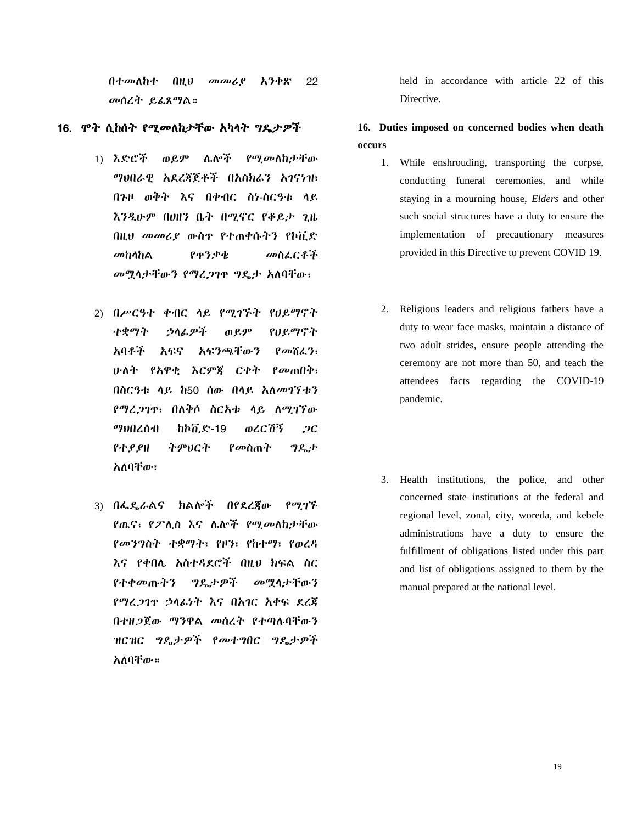በተመሇከተ በዚህ መመሪያ አንቀጽ 22 መሰረት ይፌጸማል።

#### 16. ሞት ሲከሰት የሚመለከታቸው አካላት ግዴታዎች

- 1) እድሮች ወይም ሌሎች የሚመለከታቸው ማህበራዊ አዯረጃጀቶች በአስክሬን አገናነዝ፣ በጉዞ ወቅት እና በቀብር ስነ-ስርዓቱ ሊይ እንዱሁም በሀዘን ቤት በሚኖር የቆይታ ጊዜ በዚህ መመሪያ ውስጥ የተጠቀሱትን የኮቪዴ መከላከል የጥንቃቄ መስፈርቶች መሟላታቸውን የማረጋገዋ ግዴታ አለባቸው፣
- 2) በሥርዓተ ቀብር ሊይ የሚገኙት የሀይማኖት ተቋማት ኃሊፉዎች ወይም የሀይማኖት አባቶች አፍና አፍንጫቸውን የመሸፈን፣ ሁሇት የአዋቂ እርምጃ ርቀት የመጠበቅ፣ በስርዓቱ ላይ ከ50 ሰው በላይ አለመገኘቱን የማረ*ጋገ*ጥ፣ በለቅሶ ስርአቱ ላይ ለ*ሚገኘ*ው ማህበረሰብ ከኮቪዴ-19 ወረርሽኝ ጋር የተያያዘ ትምህርት የመስጠት ግዳታ አለባቸው፣
- 3) በፌዴራልና ክልሎች በየደረጀው የሚገኙ የጤና፣ የፖሊስ እና ሌሎች የሚመለከታቸው የመንግስት ተቋማት፣ የዞን፣ የከተማ፣ የወረዲ እና የቀበሌ አስተዳደሮች በዚህ ክፍል ስር የተቀመጡትን ግዳታዎች መሟሊታቸውን የማረጋገጥ ኃላፊነት እና በአገር አቀፍ ደረጃ በተዘጋጀው ማንዋሌ መሰረት የተጣለባቸውን ዝርዝር ግዳታዎች የመተግበር ግዳታዎች አለባቸው።

held in accordance with article 22 of this Directive.

### **16. Duties imposed on concerned bodies when death occurs**

- 1. While enshrouding, transporting the corpse, conducting funeral ceremonies, and while staying in a mourning house, *Elders* and other such social structures have a duty to ensure the implementation of precautionary measures provided in this Directive to prevent COVID 19.
- 2. Religious leaders and religious fathers have a duty to wear face masks, maintain a distance of two adult strides, ensure people attending the ceremony are not more than 50, and teach the attendees facts regarding the COVID-19 pandemic.
- 3. Health institutions, the police, and other concerned state institutions at the federal and regional level, zonal, city, woreda, and kebele administrations have a duty to ensure the fulfillment of obligations listed under this part and list of obligations assigned to them by the manual prepared at the national level.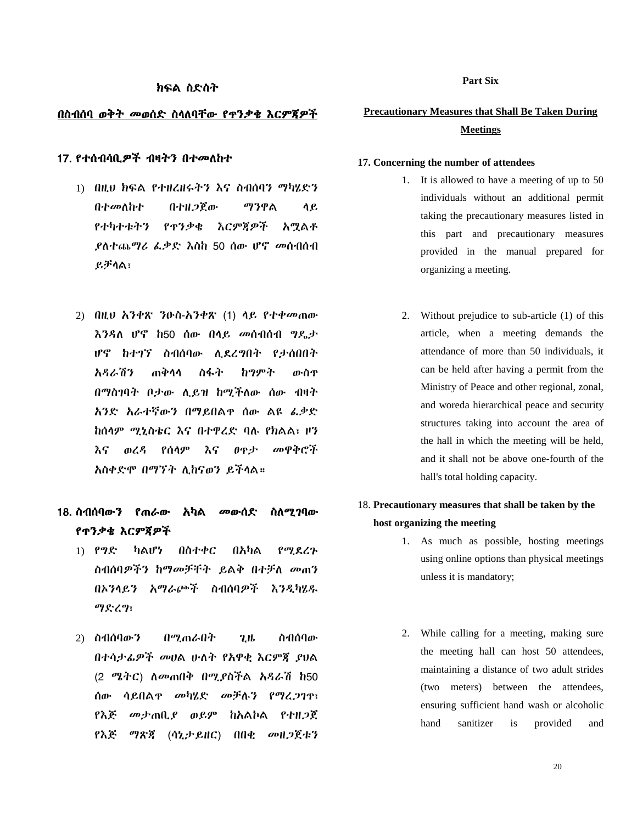# **17. Concerning the number of attendees**  1. It is allowed to have a meeting of up to 50

- individuals without an additional permit taking the precautionary measures listed in this part and precautionary measures provided in the manual prepared for organizing a meeting.
- 2. Without prejudice to sub-article (1) of this article, when a meeting demands the attendance of more than 50 individuals, it can be held after having a permit from the Ministry of Peace and other regional, zonal, and woreda hierarchical peace and security structures taking into account the area of the hall in which the meeting will be held, and it shall not be above one-fourth of the hall's total holding capacity.

# 18. **Precautionary measures that shall be taken by the host organizing the meeting**

- 1. As much as possible, hosting meetings using online options than physical meetings unless it is mandatory;
- 2. While calling for a meeting, making sure the meeting hall can host 50 attendees, maintaining a distance of two adult strides (two meters) between the attendees, ensuring sufficient hand wash or alcoholic hand sanitizer is provided and

### ክፍል ስድስት

#### በስብሰባ ወቅት መወሰዴ ስሊሇባቸው የጥንቃቄ እርምጃዎች

#### 17. የተሰብሳቢዎች ብዛትን በተመለከተ

- 1) በዚህ ክፌሌ የተዘረዘሩትን እና ስብሰባን ማካሄዴን በተመሇከተ በተዘጋጀው ማንዋሌ ሊይ የተካተቱትን የጥንቃቄ እርምጃዎች አሟሌቶ *ያ*ስተጨ*ማሪ ፌ*ቃድ እስከ 50 ሰው ሆኖ *መ*ሰብሰብ ይቻሊሌ፣
- 2) በዚህ አንቀጽ ንዑስ-አንቀጽ (1) ሊይ የተቀመጠው እንዳለ ሆኖ ከ50 ሰው በላይ መሰብሰብ ግዴታ ሆኖ ከተገኘ ስብሰባው ሊደረግበት የታሰበበት አዲራሽን ጠቅሊሊ ስፊት ከግምት ውስጥ በማስገባት ቦታው ሊይዝ ከሚችለው ሰው ብዛት አንድ አራተኛውን በማይበልዋ ሰው ልዩ ፌቃድ ከሰሊም ሚኒስቴር እና በተዋረዴ ባለ የክሌሌ፣ ዞን እና ወረዲ የሰሊም እና ፀጥታ መዋቅሮች አስቀዴሞ በማኘት ሉከናወን ይችሊሌ።

# 18. ስብሰባውን የጠራው አካል መውሰድ ስለሚገባው የጥንቃቄ እርምጃዎች

- 1) የግድ ካልሆነ በስተቀር በአካል የሚደረጉ ስብሰባዎችን ከማመቻቸት ይልቅ በተቻለ መጠን በኦንሊይን አማራጮች ስብሰባዎች እንዱካሄደ ማዴረግ፣
- 2) ስብሰባውን በሚጠራበት ጊዜ ስብሰባው በተሳታፉዎች መሀሌ ሁሇት የአዋቂ እርምጃ ያህሌ (2 ሜትር) ለመጠበቅ በሚያስችል አዳራሽ ከ50 ሰው ሳይበሌጥ መካሄዴ መቻለን የማረጋገጥ፣ የእጅ መታጠቢያ ወይም ከአሌኮሌ የተዘጋጀ የእጅ ማጽጃ (ሳኒታይዘር) በበቂ መዘጋጀቱን

### **Part Six**

**Precautionary Measures that Shall Be Taken During Meetings**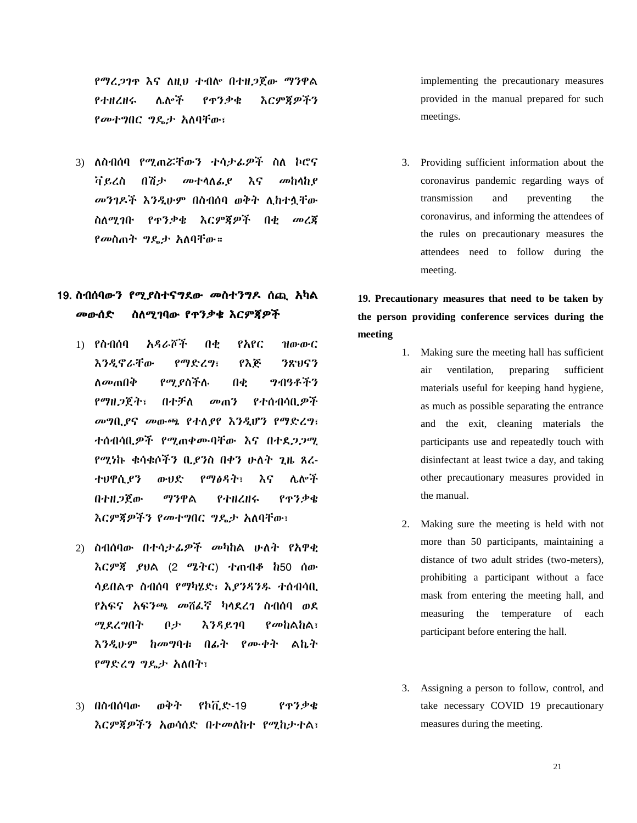የማረጋገጥ እና ለዚህ ተብሎ በተዘጋጀው ማንዋል የተዘረዘሩ ላልች የጥንቃቄ እርምጃዎችን የመተግበር ግዴታ አለባቸው፣

3) ለስብሰባ የሚጠሯቸውን ተሳታፊዎች ስለ ኮሮና ቫይረስ በሽታ መተላለፊያ እና መከላከያ መንገዶች እንዲሁም በስብሰባ ወቅት ሊከተሏቸው ስሇሚገቡ የጥንቃቄ እርምጃዎች በቂ መረጃ የመስጠት ግዴታ አለባቸው።

# 19. ስብሰባውን የሚያስተናግደው መስተንግዶ ሰጪ አካል መውሰድ ስለሚገባው የዋንቃቄ እርምጀዎች

- 1) የስብሰባ አዲራሾች በቂ የአየር ዝውውር እንዱኖራቸው የማዴረግ፣ የእጅ ንጽህናን ሇመጠበቅ የሚያስችለ በቂ ግብዓቶችን የማዘጋጀት፣ በተቻለ መጠን የተሰብሳቢዎች መግቢያና መውጫ የተለያየ እንዲሆን የማድረግ፣ ተሰብሳቢዎች የሚጠቀሙባቸው እና በተደጋጋሚ የሚነኩ ቁሳቁሶችን ቢያንስ በቀን ሁለት ጊዜ ጸረ-ተህዋሲያን ውህዴ የማፅዲት፣ እና ላልች በተዘጋጀው ማንዋሌ የተዘረዘሩ የጥንቃቄ እርምጃዎችን የመተግበር ግዴታ አለባቸው፣
- 2) ስብሰባው በተሳታ*ሌዎች መካ*ከል ሁለት የአዋቂ እርምጃ ያህሌ (2 ሜትር) ተጠብቆ ከ50 ሰው ሳይበሌጥ ስብሰባ የማካሄዴ፣ እያንዲንደ ተሰብሳቢ የአፍና አፍንጫ መሸፌኛ ካላደረገ ስብሰባ ወደ ሚዯረግበት ቦታ እንዲይገባ የመከሌከሌ፣ እንዱሁም ከመግባቱ በፉት የሙቀት ሌኬት የማዴረግ ግዳታ አሇበት፣
- 3) በስብሰባው ወቅት የኮቪዴ-19 የጥንቃቄ እርምጃዎችን አወሳሰድ በተመለከተ የሚከታተል፣

implementing the precautionary measures provided in the manual prepared for such meetings.

3. Providing sufficient information about the coronavirus pandemic regarding ways of transmission and preventing the coronavirus, and informing the attendees of the rules on precautionary measures the attendees need to follow during the meeting.

# **19. Precautionary measures that need to be taken by the person providing conference services during the meeting**

- 1. Making sure the meeting hall has sufficient air ventilation, preparing sufficient materials useful for keeping hand hygiene, as much as possible separating the entrance and the exit, cleaning materials the participants use and repeatedly touch with disinfectant at least twice a day, and taking other precautionary measures provided in the manual.
- 2. Making sure the meeting is held with not more than 50 participants, maintaining a distance of two adult strides (two-meters), prohibiting a participant without a face mask from entering the meeting hall, and measuring the temperature of each participant before entering the hall.
- 3. Assigning a person to follow, control, and take necessary COVID 19 precautionary measures during the meeting.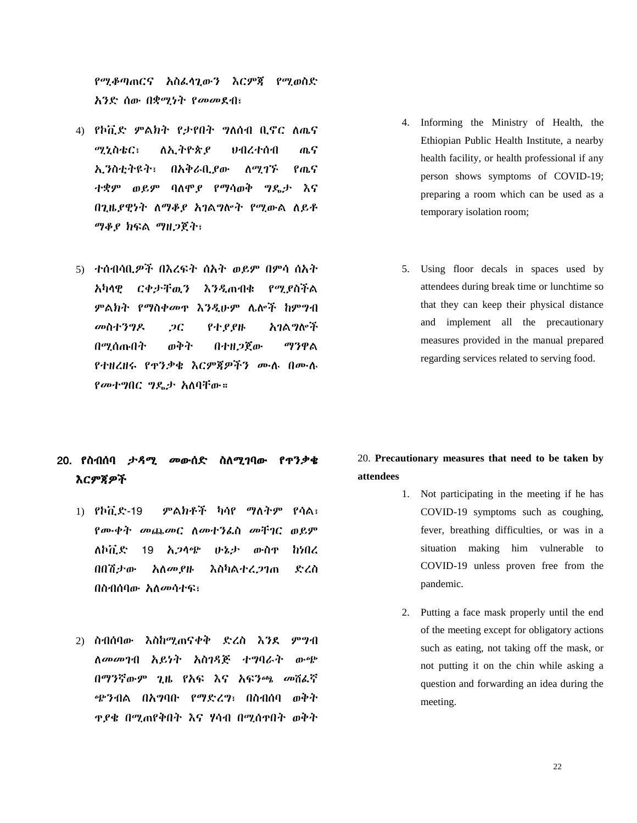የሚቆጣጠርና አስፌሳጊውን እርምጃ የሚወስድ አንዴ ሰው በቋሚነት የመመዯብ፣

- 4) የኮቪድ ምልክት የታየበት ግለሰብ ቢኖር ለጤና ሚኒስቴር፣ ሇኢትዮጵያ ህብረተሰብ ጤና ኢንስቲትዩት፣ በአቅራቢያው ለሚገኙ የጤና ተቋም ወይም ባለሞ*ያ* የማሳወቅ *ግ*ዴታ እና በጊዜያዊነት ስማቆያ አገልግሎት የሚውል ስይቶ ማቆያ ክፍል ማዘጋጀት፣
- 5) ተሰብሳቢዎች በእረፍት ሰአት ወይም በምሳ ሰአት አካሊዊ ርቀታቸዉን እንዱጠብቁ የሚያስችሌ ምሌክት የማስቀመጥ እንዱሁም ላልች ከምግብ መስተንግድ ጋር የተያያዙ አገሌግልች በሚሰጡበት ወቅት በተዘጋጀው ማንዋሌ የተዘረዘሩ የጥንቃቄ እርምጃዎችን ሙለ በሙለ የመተግበር ግዳታ አሇባቸው።
- 20. የስብሰባ ታዳሚ መውሰድ ስለሚገባው የጥንቃቄ እርምጃዎች
	- 1) የኮቪድ-19 ምልክቶች ካሳየ ማለትም የሳል፣ የሙቀት መጨመር ስሙተንፌስ መቸገር ወይም ሇኮቪዴ 19 አጋሊጭ ሁኔታ ውስጥ ከነበረ በበሽታው አሇመያዙ እስካሌተረጋገጠ ዴረስ በስብሰባው አለመሳተፍ፣
	- 2) ስብሰባው እስከሚጠናቀቅ ድረስ እንደ ምግብ ሇመመገብ አይነት አስገዲጅ ተግባራት ውጭ በማንኛውም ጊዜ የአፍ እና አፍንጫ መሸፌኛ ጭንብሌ በአግባቡ የማዴረግ፣ በስብሰባ ወቅት ጥያቄ በሚጠየቅበት እና ሃሳብ በሚሰጥበት ወቅት
- 4. Informing the Ministry of Health, the Ethiopian Public Health Institute, a nearby health facility, or health professional if any person shows symptoms of COVID-19; preparing a room which can be used as a temporary isolation room;
- 5. Using floor decals in spaces used by attendees during break time or lunchtime so that they can keep their physical distance and implement all the precautionary measures provided in the manual prepared regarding services related to serving food.

# 20. **Precautionary measures that need to be taken by attendees**

- 1. Not participating in the meeting if he has COVID-19 symptoms such as coughing, fever, breathing difficulties, or was in a situation making him vulnerable to COVID-19 unless proven free from the pandemic.
- 2. Putting a face mask properly until the end of the meeting except for obligatory actions such as eating, not taking off the mask, or not putting it on the chin while asking a question and forwarding an idea during the meeting.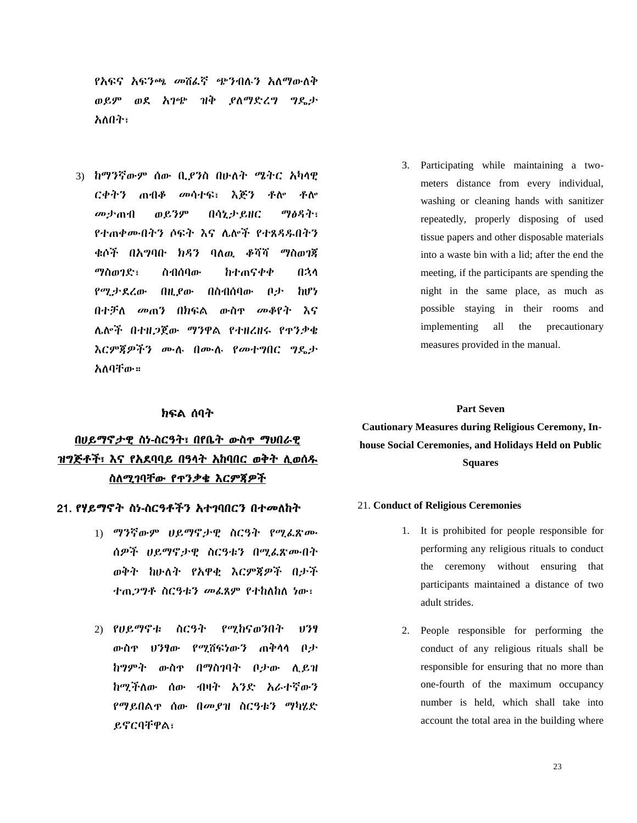የአፍና አፍንጫ መሸፌኛ ጭንብሉን አለማውለቅ ወይም ወደ አገጭ ዝቅ ያለማድረግ ግዴታ አለበት፣

3) ከማንኛውም ሰው ቢያንስ በሁለት ሜትር አካላዊ ርቀትን ጠብቆ መሳተፍ፣ እጅን ቶሎ ቶሎ መታጠብ ወይንም በሳኒታይዘር ማፅዲት፣ የተጠቀሙበትን ሶፍት እና ሌሎች የተጸዳዱበትን ቁሶች በአግባቡ ክዳን ባለዉ ቆሻሻ ማስወገጃ ማስወገዴ፣ ስብሰባው ከተጠናቀቀ በኋሊ የሚታዯረው በዚያው በስብሰባው ቦታ ከሆነ በተቻለ መጠን በክፍል ውስዋ መቆየት እና ላልች በተዘጋጀው ማንዋሌ የተዘረዘሩ የጥንቃቄ እርምጃዎችን ሙለ በሙለ የመተግበር ግዳታ አለባቸው።

#### ክፍል ሰባት

# በሀይማኖታዊ ስነ-ስርዓት፣ በየቤት ውስጥ ማህበራዊ ዝግጅቶች፣ እና የአደባባይ በዓላት አከባበር ወቅት ሊወሰዱ ስሇሚገባቸው የጥንቃቄ እርምጃዎች

### 21. የሃይማኖት ስነ-ስርዓቶችን አተገባበርን በተመለከት

- 1) ማንኛውም ሀይማኖታዊ ስርዓት የሚፌጽሙ ሰዎች ሀይማኖታዊ ስርዓቱን በሚፌጽሙበት ወቅት ከሁለት የአዋቂ እርምጃዎች በታች ተጠ*ጋግቶ ስርዓቱን መ*ፈጸም የተከለከለ ነው፣
- 2) የሀይማኖቱ ስርዓት የሚከናወንበት ህንፃ ውስዋ ሀንፃው የሚሸፍነውን ጠቅላላ ቦታ ከግምት ውስጥ በማስገባት ቦታው ሉይዝ ከሚችለው ሰው ብዛት አንድ አራተኛውን የማይበሌጥ ሰው በመያዝ ስርዓቱን ማካሄዴ ይኖርባቸዋሌ፣

3. Participating while maintaining a twometers distance from every individual, washing or cleaning hands with sanitizer repeatedly, properly disposing of used tissue papers and other disposable materials into a waste bin with a lid; after the end the meeting, if the participants are spending the night in the same place, as much as possible staying in their rooms and implementing all the precautionary measures provided in the manual.

#### **Part Seven**

**Cautionary Measures during Religious Ceremony, Inhouse Social Ceremonies, and Holidays Held on Public Squares**

#### 21. **Conduct of Religious Ceremonies**

- 1. It is prohibited for people responsible for performing any religious rituals to conduct the ceremony without ensuring that participants maintained a distance of two adult strides.
- 2. People responsible for performing the conduct of any religious rituals shall be responsible for ensuring that no more than one-fourth of the maximum occupancy number is held, which shall take into account the total area in the building where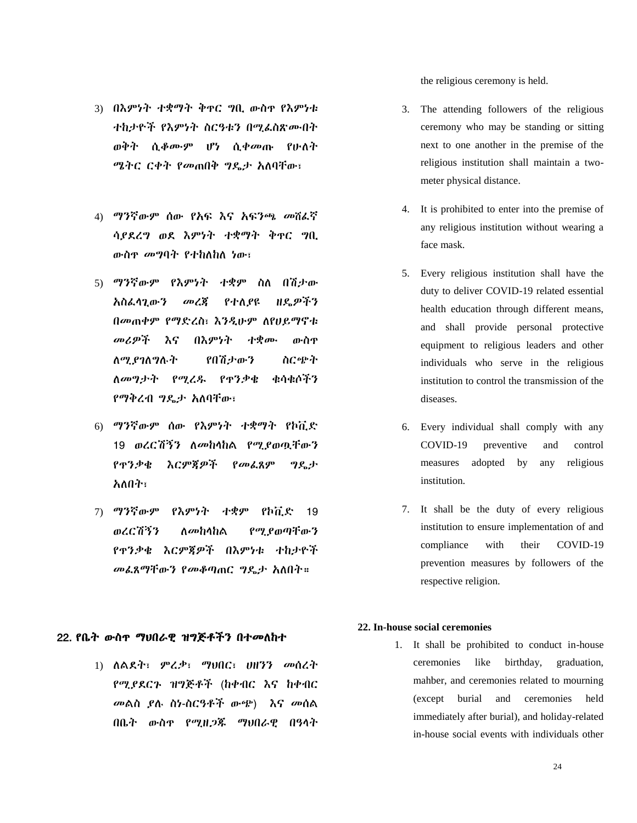- 3) በእምነት ተቋማት ቅጥር ግቢ ውስጥ የእምነቱ ተከታዮች የእምነት ስርዓቱን በሚፌስጽሙበት ወቅት ሲቆሙም ሆነ ሲቀመጡ የሁለት ሜትር ርቀት የመጠበቅ ግዴታ አለባቸው፣
- 4) ማንኛውም ሰው የአፍ እና አፍንጫ መሸፌኛ ሳያደረግ ወደ እምነት ተቋማት ቅጥር ግቢ ውስጥ መግባት የተከለከለ ነው፣
- 5) ማንኛውም የእምነት ተቋም ስለ በሽታው አስፇሊጊውን መረጃ የተሇያዩ ዘዳዎችን በመጠቀም የማድረስ፣ እንዲሁም ለየሀይማኖቱ መሪዎች እና በእምነት ተቋሙ ውስጥ ሇሚያገሇግለት የበሽታውን ስርጭት ለመግታት የሚረዱ የጥንቃቄ ቁሳቁሶችን የማቅረብ ግዳታ አሇባቸው፣
- 6) ማንኛውም ሰው የእምነት ተቋማት የኮቪዴ 19 ወረርሽኝን ለመከላከል የሚያወጧቸውን የዋንቃቄ እርምጀዎች የመፈጸም ግዴታ አለበት፣
- 7) ማንኛውም የእምነት ተቋም የኮቪዴ 19 ወረርሽኝን ለመከላከል የሚያወጣቸውን የጥንቃቄ እርምጃዎች በእምነቱ ተከታዮች መፌጸማቸውን የመቆጣጠር ግዴታ አስበት።

#### 22. የቤት ውስጥ ማህበራዊ ዝግጅቶችን በተመለከተ

1) ሇሌዯት፣ ምረቃ፣ ማህበር፣ ሀዘንን መሰረት የሚያዯርጉ ዝግጅቶች (ከቀብር እና ከቀብር መሌስ ያለ ስነ-ስርዓቶች ውጭ) እና መሰሌ በቤት ውስጥ የሚዘጋጁ ማህበራዊ በዓሊት the religious ceremony is held.

- 3. The attending followers of the religious ceremony who may be standing or sitting next to one another in the premise of the religious institution shall maintain a twometer physical distance.
- 4. It is prohibited to enter into the premise of any religious institution without wearing a face mask.
- 5. Every religious institution shall have the duty to deliver COVID-19 related essential health education through different means, and shall provide personal protective equipment to religious leaders and other individuals who serve in the religious institution to control the transmission of the diseases.
- 6. Every individual shall comply with any COVID-19 preventive and control measures adopted by any religious institution.
- 7. It shall be the duty of every religious institution to ensure implementation of and compliance with their COVID-19 prevention measures by followers of the respective religion.

#### **22. In-house social ceremonies**

1. It shall be prohibited to conduct in-house ceremonies like birthday, graduation, mahber, and ceremonies related to mourning (except burial and ceremonies held immediately after burial), and holiday-related in-house social events with individuals other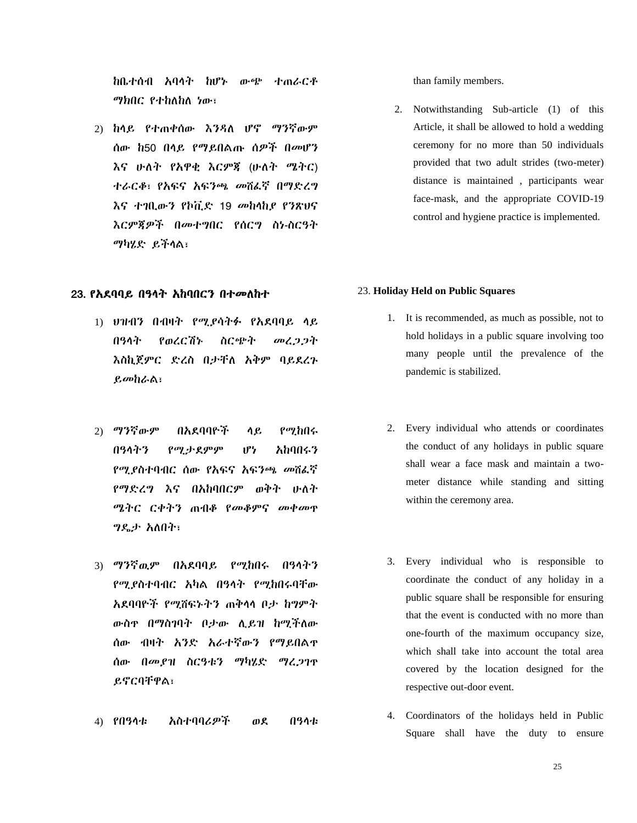ከቤተሰብ አባሊት ከሆኑ ውጭ ተጠራርቶ ማክበር የተከለከለ ነው፣

2) ከላይ የተጠቀሰው እንዳለ ሆኖ ማንኛውም ሰው ከ50 በሊይ የማይበሌጡ ሰዎች በመሆን እና ሁለት የአዋቂ እርምጃ (ሁለት ሜትር) ተራርቆ፣ የአፍና አፍንጫ መሸፌኛ በማድረግ እና ተገቢውን የኮቪዴ 19 መከሊከያ የንጽህና እርምጃዎች በመተግበር የሰርግ ስነ-ስርዓት ማካሄዴ ይችሊሌ፣

#### 23. የአደባባይ በዓላት አከባበርን በተመለከተ

- 1) ህዝብን በብዛት የሚያሳትፉ የአደባባይ ላይ በዓሊት የወረርሽኑ ስርጭት መረጋጋት እስኪጀምር ድረስ በታቸለ አቅም ባይደረጉ ይመከራሌ፣
- 2) ማንኛውም በአደባባዮች ላይ የማከበሩ በዓላትን የማታደምም ሆነ አከባበሩን የሚያስተባብር ሰው የአፍና አፍንጫ መሸፌኛ የማድረግ እና በአከባበርም ወቅት ሁለት ሜትር ርቀትን ጠብቆ የመቆምና መቀመጥ ግዳታ አሇበት፣
- 3) ማንኛዉም በአደባባይ የሚከበሩ በዓላትን የሚያስተባብር አካሌ በዓሊት የሚከበሩባቸው አደባባዮች የሚሸፍኑትን ጠቅላላ ቦታ ከግምት ውስዋ በማስገባት ቦታው ሊይዝ ከሚችለው ሰው ብዛት አንዴ አራተኛውን የማይበሌጥ ሰው በመያዝ ስርዓቱን ማካሄዴ ማረጋገጥ ይኖርባቸዋሌ፣

4) የበዓላቱ አስተባባሪዎች ወደ በዓላቱ

than family members.

2. Notwithstanding Sub-article (1) of this Article, it shall be allowed to hold a wedding ceremony for no more than 50 individuals provided that two adult strides (two-meter) distance is maintained , participants wear face-mask, and the appropriate COVID-19 control and hygiene practice is implemented.

#### 23. **Holiday Held on Public Squares**

- 1. It is recommended, as much as possible, not to hold holidays in a public square involving too many people until the prevalence of the pandemic is stabilized.
- 2. Every individual who attends or coordinates the conduct of any holidays in public square shall wear a face mask and maintain a twometer distance while standing and sitting within the ceremony area.
- 3. Every individual who is responsible to coordinate the conduct of any holiday in a public square shall be responsible for ensuring that the event is conducted with no more than one-fourth of the maximum occupancy size, which shall take into account the total area covered by the location designed for the respective out-door event.
- 4. Coordinators of the holidays held in Public Square shall have the duty to ensure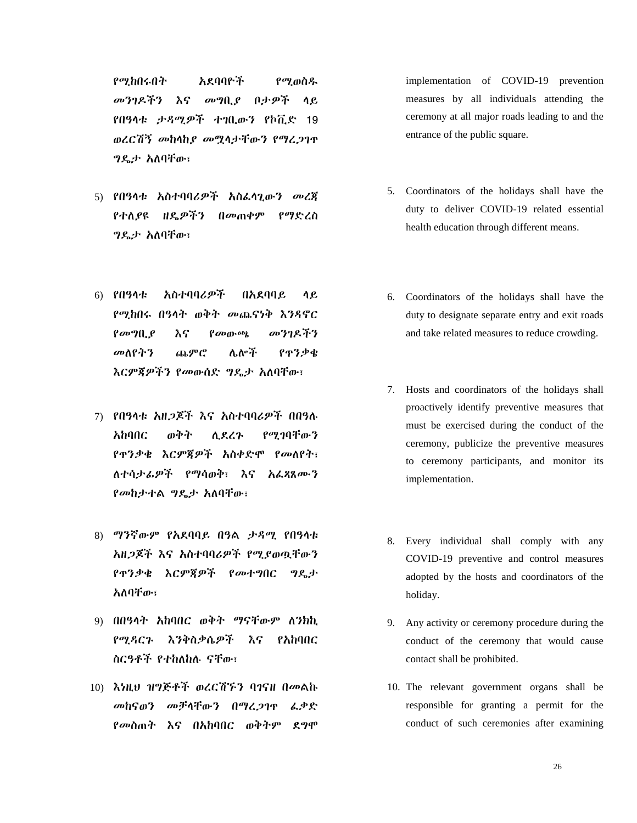የሚከበሩበት አደባባዮች የሚወስዱ መንገድችን እና መግቢያ ቦታዎች ሊይ የበዓሊቱ ታዲሚዎች ተገቢውን የኮቪዴ 19 ወረርሽኝ መከሊከያ መሟሊታቸውን የማረጋገጥ ግዳታ አሇባቸው፣

- 5) የበዓላቱ አስተባባሪዎች አስፈላጊውን መረጃ የተሇያዩ ዘዳዎችን በመጠቀም የማዴረስ ግዳታ አሇባቸው፣
- 6) የበዓላቱ አስተባባሪዎች በአደባባይ ላይ የሚከበሩ በዓሊት ወቅት መጨናነቅ እንዲኖር የመግቢያ እና የመውጫ መንገድችን መሇየትን ጨምሮ ላልች የጥንቃቄ እርምጃዎችን የመውሰድ ግዴታ አለባቸው፣
- 7) የበዓሊቱ አዘጋጆች እና አስተባባሪዎች በበዓለ አከባበር ወቅት ሲደረጉ የሚገባቸውን የዋንቃቄ እርምጀዎች አስቀድሞ የመለየት፣ ለተሳታ*ሌዎች የማሳወቅ፣ እና አ*ፌጻጸሙን የመከታተል ግዴታ አለባቸው፣
- 8) ማንኛውም የአደባባይ በዓል ታዳሚ የበዓላቱ አዘጋጆች እና አስተባባሪዎች የሚያወጧቸውን የጥንቃቄ እርምጃዎች የመተግበር ግዳታ አለባቸው፣
- 9) በበዓላት አከባበር ወቅት ማናቸውም ለንክኪ የሚዲርጉ እንቅስቃሴዎች እና የአከባበር ስርዓቶች የተከሇከለ ናቸው፣
- 10) እነዚህ ዝግጅቶች ወረርሽኙን ባገናዘ በመሌኩ መከናወን መቻላቸውን በማረጋገዋ ፌቃድ የመስጠት እና በአከባበር ወቅትም ደግሞ

implementation of COVID-19 prevention measures by all individuals attending the ceremony at all major roads leading to and the entrance of the public square.

- 5. Coordinators of the holidays shall have the duty to deliver COVID-19 related essential health education through different means.
- 6. Coordinators of the holidays shall have the duty to designate separate entry and exit roads and take related measures to reduce crowding.
- 7. Hosts and coordinators of the holidays shall proactively identify preventive measures that must be exercised during the conduct of the ceremony, publicize the preventive measures to ceremony participants, and monitor its implementation.
- 8. Every individual shall comply with any COVID-19 preventive and control measures adopted by the hosts and coordinators of the holiday.
- 9. Any activity or ceremony procedure during the conduct of the ceremony that would cause contact shall be prohibited.
- 10. The relevant government organs shall be responsible for granting a permit for the conduct of such ceremonies after examining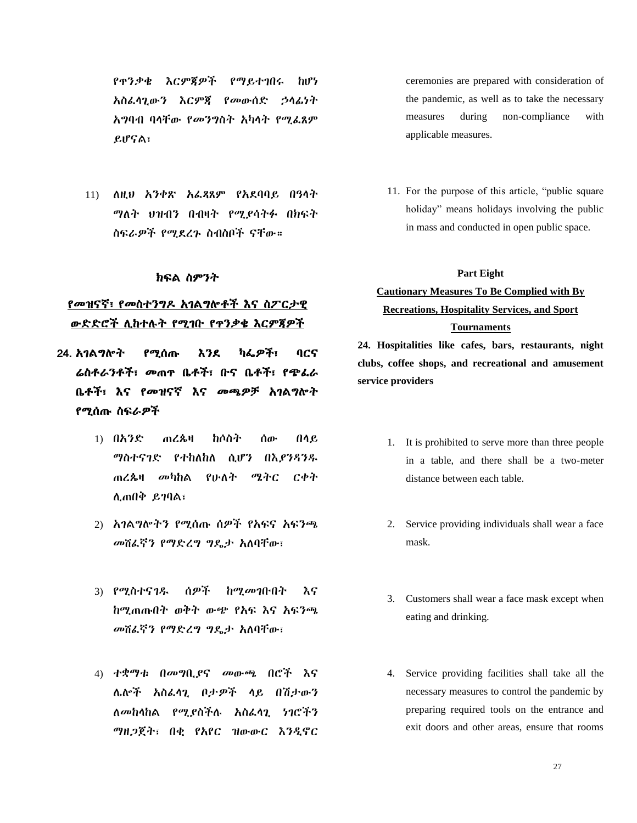የጥንቃቄ እርምጃዎች የማይተገበሩ ከሆነ አስፇሊጊውን እርምጃ የመውሰዴ ኃሊፉነት አግባብ ባላቸው የመንግስት አካላት የሚፌጸም ይሆናሌ፣

11) ለዚህ አንቀጽ አፌጻጸም የአደባባይ በዓላት ማለት ህዝብን በብዛት የሚያሳትፉ በክፍት ስፍራዎች የሚደረጉ ስብስቦች ናቸው።

#### ክፍል ስምንት

# የመዝናኛ፣ የመስተንግድ አገሌግልቶች እና ስፖርታዊ <u>ውድድሮች ሊከተሉት የሚገቡ የጥንቃቄ እርምጀዎች</u>

- 24. አገልግሎት የሚሰጡ እንደ ካፌዎች፣ ባርና ሬስቶራንቶች፣ መጠዋ ቤቶች፣ ቡና ቤቶች፣ የጭፌራ ቤቶች፣ እና የመዝናኛ እና መጫዎቻ አገሌግልት የሚሰጡ ስፍራዎች
	- 1) በአንዴ ጠረጴዛ ከሶስት ሰው በሊይ ማስተናገድ የተከለከለ ሲሆን በእ*ያንዳንዱ* ጠረጴዛ *መካከ*ል የሁለት *ሜትር ርቀት* ሉጠበቅ ይገባሌ፣
	- 2) አገልግሎትን የሚሰጡ ሰዎች የአፍና አፍንጫ መሸፌኛን የማድረግ ግዴታ አለባቸው፣
	- 3) የሚስተናገደ ሰዎች ከሚመገቡበት እና ከሚጠጡበት ወቅት ውጭ የአፍ እና አፍንጫ መሸፌኛን የማድረግ ግዴታ አለባቸው፣
	- 4) ተቋማቱ በመግቢያና መውጫ በሮች እና ሌሎች አስፌላጊ ቦታዎች ላይ በሽታውን ለመከላከል የሚያስችሉ አስፌሳጊ ነገሮችን ማዘጋጀት፣ በቂ የአየር ዝውውር እንዱኖር

ceremonies are prepared with consideration of the pandemic, as well as to take the necessary measures during non-compliance with applicable measures.

11. For the purpose of this article, "public square holiday" means holidays involving the public in mass and conducted in open public space.

#### **Part Eight**

# **Cautionary Measures To Be Complied with By Recreations, Hospitality Services, and Sport Tournaments**

**24. Hospitalities like cafes, bars, restaurants, night clubs, coffee shops, and recreational and amusement service providers** 

- 1. It is prohibited to serve more than three people in a table, and there shall be a two-meter distance between each table.
- 2. Service providing individuals shall wear a face mask.
- 3. Customers shall wear a face mask except when eating and drinking.
- 4. Service providing facilities shall take all the necessary measures to control the pandemic by preparing required tools on the entrance and exit doors and other areas, ensure that rooms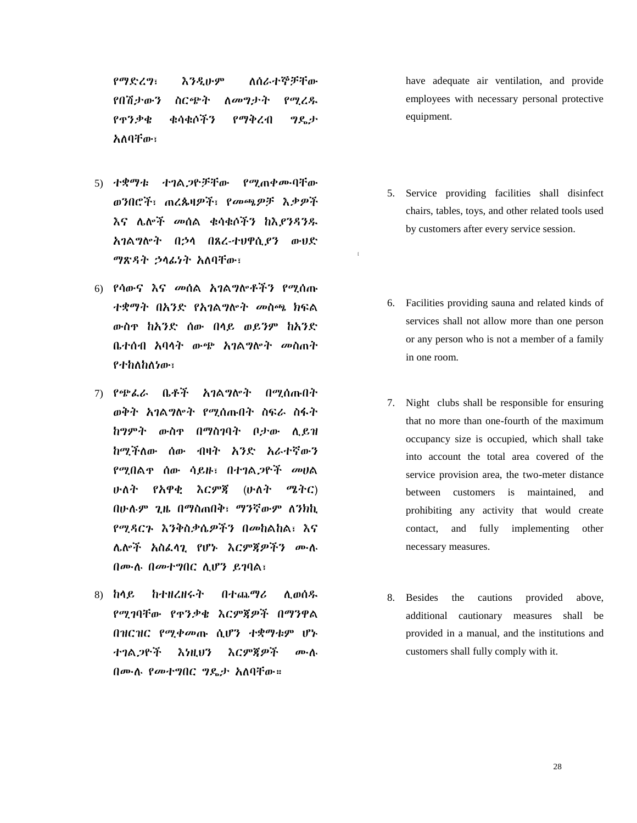የማድረግ፣ እንዲሁም ለሰራተኞቻቸው የበሽታውን ስርጭት ለመግታት የሚረዱ የጥንቃቄ ቁሳቁሶችን የማቅረብ ግዳታ አለባቸው፣

- 5) ተቋማቱ ተገሌጋዮቻቸው የሚጠቀሙባቸው ወንበሮች፣ ጠረጴዛዎች፣ የመጫዎቻ እቃዎች እና ላልች መሰሌ ቁሳቁሶችን ከእያንዲንደ አገሌግልት በኃሊ በጸረ-ተህዋሲያን ውህዴ ማጽዲት ኃሊፉነት አሇባቸው፣
- 6) የሳውና እና መሰሌ አገሌግልቶችን የሚሰጡ ተቋማት በአንዴ የአገሌግልት መስጫ ክፌሌ ውስጥ ከአንዴ ሰው በሊይ ወይንም ከአንዴ ቤተሰብ አባሊት ውጭ አገሌግልት መስጠት የተከለከለነው፣
- 7) የጭፇራ ቤቶች አገሌግልት በሚሰጡበት ወቅት አገልግሎት የሚሰጡበት ስፍራ ስፋት ከግምት ውስጥ በማስገባት ቦታው ሉይዝ ከሚችለው ሰው ብዛት አንድ አራተኛውን የሚበሌጥ ሰው ሳይዙ፣ በተገሌጋዮች መሀሌ ሁለት የአዋቂ እርምጃ (ሁለት ሜትር) በሁለም ጊዜ በማስጠበቅ፣ ማንኛውም ለንክኪ የሚዲርጉ እንቅስቃሴዎችን በመከሌከሌ፣ እና ሌሎች አስፌላጊ የሆኑ እርምጃዎችን ሙለ በሙለ በመተግበር ሉሆን ይገባሌ፣
- 8) ከላይ ከተዘረዘሩት በተጨማሪ ሊወሰዱ የሚገባቸው የጥንቃቄ እርምጃዎች በማንዋሌ በዝርዝር የሚቀመጡ ሲሆን ተቋማቱም ሆኑ ተገሌጋዮች እነዚህን እርምጃዎች ሙለ በሙሉ የመተግበር ግዴታ አስባቸው።

have adequate air ventilation, and provide employees with necessary personal protective equipment.

5. Service providing facilities shall disinfect chairs, tables, toys, and other related tools used by customers after every service session.

 $\mathbf{r}$ 

- 6. Facilities providing sauna and related kinds of services shall not allow more than one person or any person who is not a member of a family in one room.
- 7. Night clubs shall be responsible for ensuring that no more than one-fourth of the maximum occupancy size is occupied, which shall take into account the total area covered of the service provision area, the two-meter distance between customers is maintained, and prohibiting any activity that would create contact, and fully implementing other necessary measures.
- 8. Besides the cautions provided above, additional cautionary measures shall be provided in a manual, and the institutions and customers shall fully comply with it.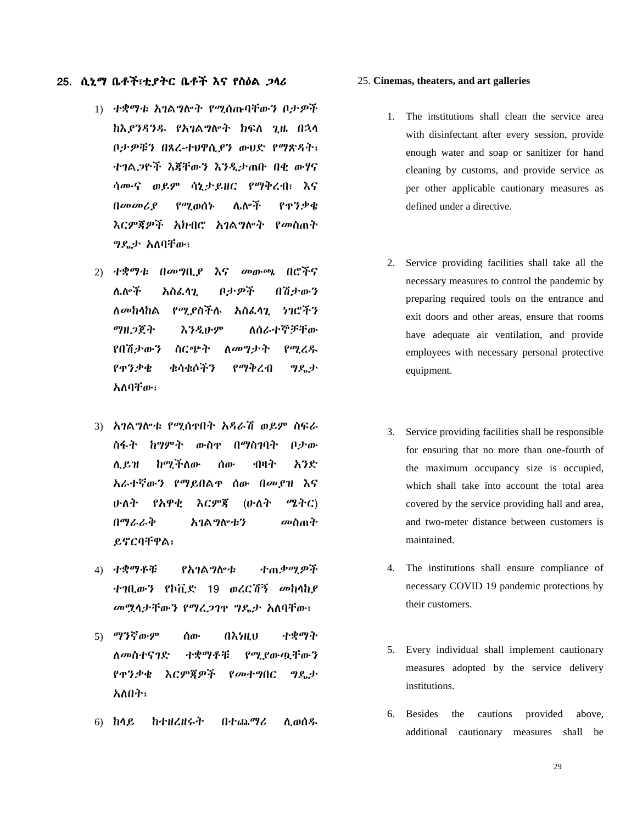### 25. ሲኒማ ቤቶች፣ቲያትር ቤቶች እና የስዕሌ ጋሊሪ

- 1) ተቋማቱ አገሌግልት የሚሰጡባቸውን ቦታዎች ከእ*ያንዳንዱ* የአገልግሎት ክፍለ ጊዜ በኋላ ቦታዎቹን በጸረ-ተህዋሲያን ውህዴ የማጽዲት፣ ተገሌጋዮች እጃቸውን እንዱታጠቡ በቂ ውሃና ሳሙና ወይም ሳኒታይዘር የማቅረብ፣ እና በመመሪያ የሚወሰኑ ላልች የጥንቃቄ እርምጃዎች አክብሮ አገሌግልት የመስጠት ግዳታ አሇባቸው፣
- 2) ተቋማቱ በመግቢያ እና መውጫ በሮችና ሌሎች አስፈላጊ ቦታዎች በሽታውን ለመከላከል የሚያስችሉ አስፌሳጊ ነገሮችን ማዘጋጀት እንዲሁም ለሰራተኞቻቸው የበሽታውን ስርጭት ለመግታት የሚረዱ የጥንቃቄ ቁሳቁሶችን የማቅረብ ግዳታ አለባቸው፣
- 3) አገልግሎቱ የሚሰጥበት አዳራሽ ወይም ስፍራ ስፊት ከግምት ውስጥ በማስገባት ቦታው ሉይዝ ከሚችሇው ሰው ብዛት አንዴ አራተኛውን የማይበሌጥ ሰው በመያዝ እና ሁለት የአዋቂ እርምጃ (ሁለት ሜትር) በማራራቅ አገሌግልቱን መስጠት ይኖርባቸዋሌ፣
- 4) ተቋማቶቹ የአገሌግልቱ ተጠቃሚዎች ተገቢውን የኮቪዴ 19 ወረርሽኝ መከሊከያ መሟላታቸውን የማረጋገጥ ግዴታ አለባቸው፣
- 5) ማንኛውም ሰው በእነዚህ ተቋማት ሇመስተናገዴ ተቋማቶቹ የሚያውጧቸውን የጥንቃቄ እርምጃዎች የመተግበር ግዳታ አለበት፣
- 6) ከላይ ከተዘረዘሩት በተጨማሪ ሊወሰዱ

#### 25. **Cinemas, theaters, and art galleries**

- 1. The institutions shall clean the service area with disinfectant after every session, provide enough water and soap or sanitizer for hand cleaning by customs, and provide service as per other applicable cautionary measures as defined under a directive.
- 2. Service providing facilities shall take all the necessary measures to control the pandemic by preparing required tools on the entrance and exit doors and other areas, ensure that rooms have adequate air ventilation, and provide employees with necessary personal protective equipment.
- 3. Service providing facilities shall be responsible for ensuring that no more than one-fourth of the maximum occupancy size is occupied, which shall take into account the total area covered by the service providing hall and area, and two-meter distance between customers is maintained.
- 4. The institutions shall ensure compliance of necessary COVID 19 pandemic protections by their customers.
- 5. Every individual shall implement cautionary measures adopted by the service delivery institutions.
- 6. Besides the cautions provided above, additional cautionary measures shall be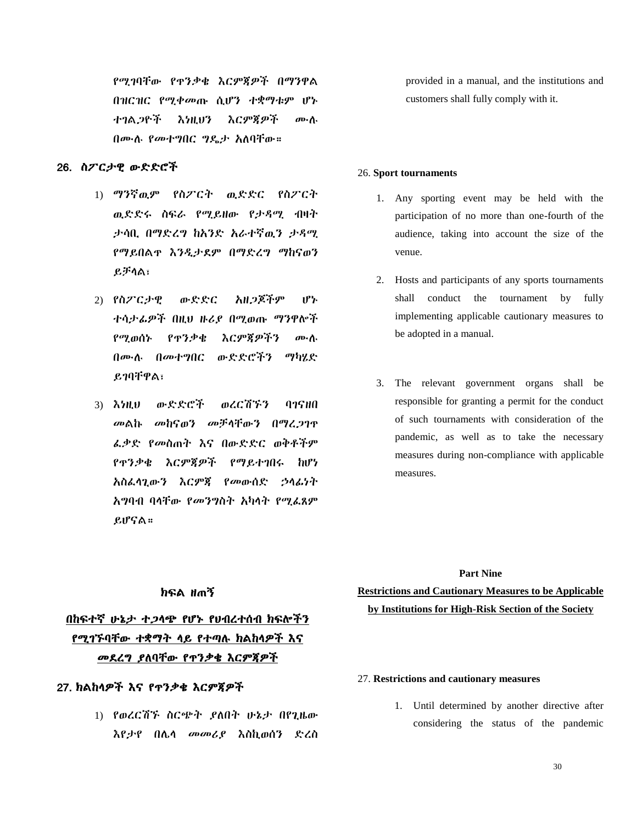የሚገባቸው የጥንቃቄ እርምጃዎች በማንዋሌ በዝርዝር የሚቀመጡ ሲሆን ተቋማቱም ሆኑ ተገሌጋዮች እነዚህን እርምጃዎች ሙለ በሙሉ የመተግበር ግዴታ አለባቸው።

### 26. ስፖርታዊ ውዴዴሮች

- 1) ማንኛዉም የስፖርት ዉዴዴር የስፖርት ዉድድሩ ስፍራ የሚይዘው የታዳሚ ብዛት ታሳቢ በማዴረግ ከአንዴ አራተኛዉን ታዲሚ የማይበልዋ እንዲታደም በማድረግ ማከናወን ይቻሊሌ፣
- 2) የስፖርታዊ ውዴዴር አዘጋጆችም ሆኑ ተሳታፉዎች በዚህ ዙሪያ በሚወጡ ማንዋልች የሚወሰኑ የጥንቃቄ እርምጃዎችን ሙለ በሙለ በመተግበር ውዴዴሮችን ማካሄዴ ይገባቸዋሌ፣
- 3) እነዚህ ውዴዴሮች ወረርሽኙን ባገናዘበ መሌኩ መከናወን መቻሊቸውን በማረጋገጥ ፇቃዴ የመስጠት እና በውዴዴር ወቅቶችም የጥንቃቄ እርምጃዎች የማይተገበሩ ከሆነ አስፇሊጊውን እርምጃ የመውሰዴ ኃሊፉነት አግባብ ባላቸው የመንግስት አካላት የሚፈጸም ይሆናሌ።

provided in a manual, and the institutions and customers shall fully comply with it.

#### 26. **Sport tournaments**

- 1. Any sporting event may be held with the participation of no more than one-fourth of the audience, taking into account the size of the venue.
- 2. Hosts and participants of any sports tournaments shall conduct the tournament by fully implementing applicable cautionary measures to be adopted in a manual.
- 3. The relevant government organs shall be responsible for granting a permit for the conduct of such tournaments with consideration of the pandemic, as well as to take the necessary measures during non-compliance with applicable measures.

#### ክፍል ዘጠኝ

# በከፍተኛ ሁኔታ ተ*ጋ*ላጭ የሆኑ የህብረተሰብ ክፍሎችን የሚገኙባቸው ተቋማት ሊይ የተጣለ ክሌከሊዎች እና መደረግ ያለባቸው የጥንቃቄ እርምጃዎች

### 27. ክሌከሊዎች እና የጥንቃቄ እርምጃዎች

1) የወረርሽኙ ስርጭት ያሇበት ሁኔታ በየጊዜው እየታየ በላሊ መመሪያ እስኪወሰን ዴረስ

#### **Part Nine**

# **Restrictions and Cautionary Measures to be Applicable by Institutions for High-Risk Section of the Society**

#### 27. **Restrictions and cautionary measures**

1. Until determined by another directive after considering the status of the pandemic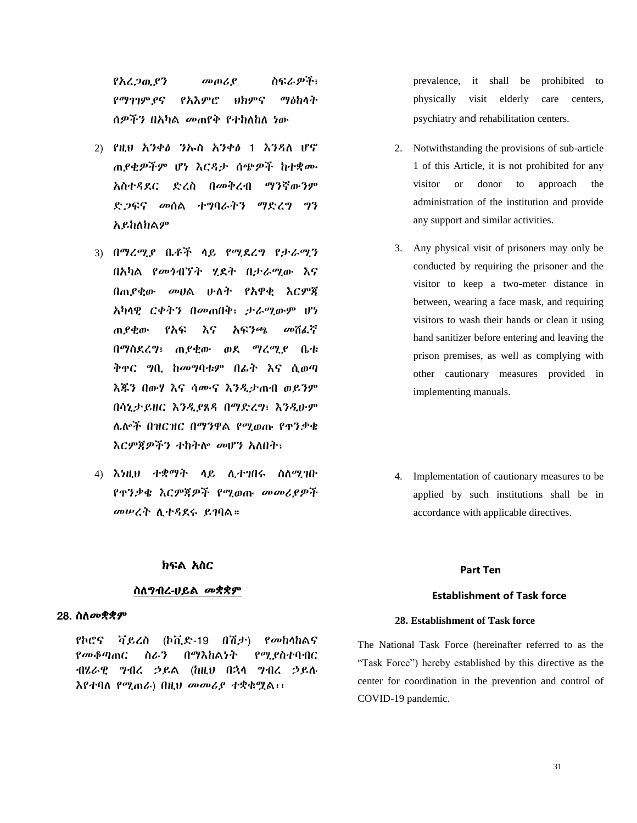የአረ*ጋዉያን መ*ጦሪያ ስፍራ*ዎች*፣ የማገገም የና የአእምሮ ህክምና ማዕከላት ሰዎችን በአካል መጠየቅ የተከለከለ ነው

- 2) የዚህ አንቀፅ ንኡስ አንቀፅ 1 እንዳለ ሆኖ ጠያቂዎችም ሆነ እርዲታ ሰጭዎች ከተቋሙ አስተዲዯር ዴረስ በመቅረብ ማንኛውንም ዴጋፌና መሰሌ ተግባራትን ማዴረግ ግን አይከለክልም
- 3) በማረሚያ ቤቶች ላይ የሚደረግ የታራሚን በአካሌ የመጎብኘት ሂዯት በታራሚው እና በጠያቂው መሀሌ ሁሇት የአዋቂ እርምጃ አካሊዊ ርቀትን በመጠበቅ፣ ታራሚውም ሆነ ጠየቀው የአፍ እና አፍንጫ መሸፈኛ በማስዯረግ፣ ጠያቂው ወዯ ማረሚያ ቤቱ ቅጥር ግቢ ከመግባቱም በፉት እና ሲወጣ እጁን በውሃ እና ሳሙና እንዱታጠብ ወይንም በሳኒታይዘር እንዱያጸዲ በማዴረግ፣ እንዱሁም ላልች በዝርዝር በማንዋሌ የሚወጡ የጥንቃቄ እርምጃዎችን ተከተሉ መሆን አለበት፣
- 4) እነዚህ ተቋማት ላይ ሊተገበሩ ስለሚገቡ የጥንቃቄ እርምጃዎች የሚወጡ መመሪያዎች መሠረት ሲተዳደሩ ይገባል።

#### ክፍል አስር

#### ስስግብረ-ሀይል መቋቋም

#### 28. ስለ*መቋቋም*

የኮሮና ቫይረስ (ኮቪዴ-19 በሽታ) የመከሊከሌና የመቆጣጠር ስራን በማእከሌነት የሚያስተባብር ብሄራዊ ግብረ ኃይል (ከዚህ በኋላ ግብረ ኃይሉ እየተባለ የሚጠራ) በዚህ መመሪያ ተቋቁሟል፡፡

prevalence, it shall be prohibited to physically visit elderly care centers, psychiatry and rehabilitation centers.

- 2. Notwithstanding the provisions of sub-article 1 of this Article, it is not prohibited for any visitor or donor to approach the administration of the institution and provide any support and similar activities.
- 3. Any physical visit of prisoners may only be conducted by requiring the prisoner and the visitor to keep a two-meter distance in between, wearing a face mask, and requiring visitors to wash their hands or clean it using hand sanitizer before entering and leaving the prison premises, as well as complying with other cautionary measures provided in implementing manuals.
- 4. Implementation of cautionary measures to be applied by such institutions shall be in accordance with applicable directives.

#### **Part Ten**

#### **Establishment of Task force**

#### **28. Establishment of Task force**

The National Task Force (hereinafter referred to as the "Task Force") hereby established by this directive as the center for coordination in the prevention and control of COVID-19 pandemic.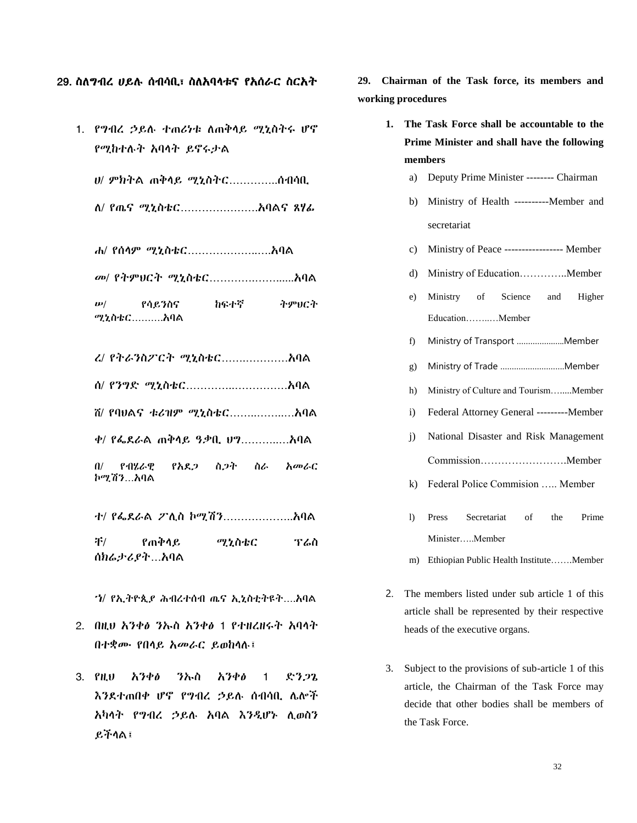### 29. ስለግብረ ሀይሉ ሰብሳቢ፣ ስለአባላቱና የአሰራር ስርአት

1. የግብረ ኃይሉ ተጠሪነቱ ስጠቅላይ ሚኒስትሩ ሆኖ የሚከተለት አባሊት ይኖሩታሌ

ሀ/ ምክትሌ ጠቅሊይ ሚኒስትር…………..ሰብሳቢ

ሇ/ የጤና ሚኒስቴር………………….አባሌና ጸሃፉ

ሏ/ የሰሊም ሚኒስቴር………………..….አባሌ

መ/ የትምህርት ሚኒስቴር………….……......አባሌ

ሠ/ የሳይንስና ከፌተኛ ትምህርት ሚኒስቴር……….አባሌ

ረ/ የትራንስፖርት ሚኒስቴር…….…………አባሌ

ሰ/ የንግዴ ሚኒስቴር…………..……………አባሌ

ሸ/ የባህሌና ቱሪዝም ሚኒስቴር……..……..…አባሌ

ቀ/ የፋዯራሌ ጠቅሊይ ዓቃቢ ህግ………..…አባሌ

በ/ የብሄራዊ የአዴጋ ስጋት ስራ አመራር ኮሚሽን…አባሌ

ተ/ የፋዯራሌ ፖሉስ ኮሚሽን………………..አባሌ

ቸ/ የጠቅሊይ ሚኒስቴር ፕሬስ ሰክሬታሪያት…አባሌ

ኀ/ የኢትዮጲያ ሕብረተሰብ ጤና ኢኒስቲትዩት….አባሌ

- 2. በዚህ አንቀፅ ንኡስ አንቀፅ 1 የተዘረዘሩት አባሊት በተቋሙ የበሊይ አመራር ይወከሊለ፤
- 3. የዚህ አንቀፅ ንኡስ አንቀፅ 1 ዴንጋጌ እንደተጠበቀ ሆኖ የግብረ ኃይለ ሰብሳቢ ሌሎች አካሊት የግብረ ኃይለ አባሌ እንዱሆኑ ሉወስን ይችሊሌ፤

**29. Chairman of the Task force, its members and working procedures**

- **1. The Task Force shall be accountable to the Prime Minister and shall have the following members**
	- a) Deputy Prime Minister -------- Chairman
	- b) Ministry of Health ----------Member and secretariat
	- c) Ministry of Peace ----------------- Member
	- d) Ministry of Education…………..Member
	- e) Ministry of Science and Higher Education……..…Member
	- f) Ministry of Transport …………….…..Member
	- g) Ministry of Trade ……………………….Member
	- h) Ministry of Culture and Tourism….....Member
	- i) Federal Attorney General ---------Member
	- j) National Disaster and Risk Management Commission…………………….Member
	- k) Federal Police Commision ….. Member
	- l) Press Secretariat of the Prime Minister…..Member
	- m) Ethiopian Public Health Institute…….Member
- 2. The members listed under sub article 1 of this article shall be represented by their respective heads of the executive organs.
- 3. Subject to the provisions of sub-article 1 of this article, the Chairman of the Task Force may decide that other bodies shall be members of the Task Force.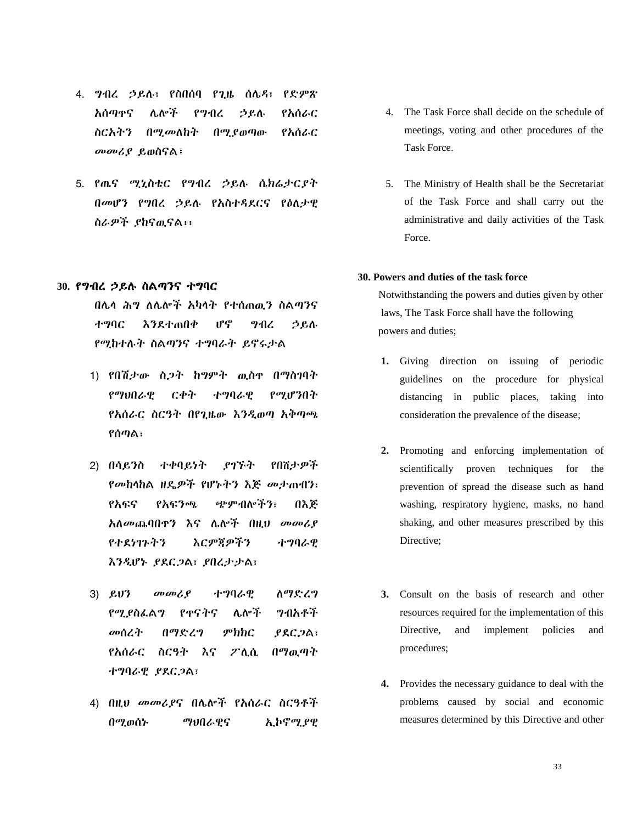- 4. ግብረ ኃይለ፣ የስበሰባ የጊዜ ሰላዲ፣ የዴምጽ አሰጣጥና ላልች የግብረ ኃይለ የአሰራር ስርአትን በሚመሇከት በሚያወጣው የአሰራር መመሪያ ይወስናሌ፤
- 5. የጤና ሚኒስቴር የግብረ ኃይለ ሴክሬታርያት በመሆን የግበረ ኃይለ የአስተዳደርና የዕለታዊ ስራዎች ያከናዉናሌ፡፡

#### **30.** የግብረ ኃይለ ስሌጣንና ተግባር

በሌላ ሕግ ለሌሎች አካላት የተሰጠዉን ስልጣንና ተግባር እንደተጠበቀ ሆኖ ግብረ ኃይሉ የሚከተለት ስሌጣንና ተግባራት ይኖሩታሌ

- 1) የበሽታው ስጋት ከግምት ዉስጥ በማስገባት የማህበራዊ ርቀት ተግባራዊ የሚሆንበት የአሰራር ስርዓት በየጊዜው እንዱወጣ አቅጣጫ የሰጣሌ፣
- 2) በሳይንስ ተቀባይነት ያገኙት የበሸታዎች የመከሊከሌ ዘዳዎች የሆኑትን እጅ መታጠብን፣ የአፍና የአፍንጫ ጭምብሎችን፣ በእጅ <u>አለመጨባበዋን እና ሌሎች በዚህ መመሪያ</u> የተደነገጉትን እርምጃዎችን ተግባራዊ እንዱሆኑ ያዯርጋሌ፣ ያበረታታሌ፣
- 3) ይህን መመሪያ ተግባራዊ ስማድረግ የሚያስፌልግ የዋናትና ሌሎች ግብአቶች መሰረት በማድረግ ምክክር ያደርጋል፣ የአሰራር ስርዓት እና ፖሉሲ በማዉጣት ተግባራዊ ያደርጋል፣
- 4) በዚህ መመሪያና በላልች የአሰራር ስርዓቶች በሚወሰኑ ማህበራዊና ኢኮኖሚያዊ
- 4. The Task Force shall decide on the schedule of meetings, voting and other procedures of the Task Force.
- 5. The Ministry of Health shall be the Secretariat of the Task Force and shall carry out the administrative and daily activities of the Task Force.

#### **30. Powers and duties of the task force**

 Notwithstanding the powers and duties given by other laws, The Task Force shall have the following powers and duties;

- **1.** Giving direction on issuing of periodic guidelines on the procedure for physical distancing in public places, taking into consideration the prevalence of the disease;
- **2.** Promoting and enforcing implementation of scientifically proven techniques for the prevention of spread the disease such as hand washing, respiratory hygiene, masks, no hand shaking, and other measures prescribed by this Directive;
- **3.** Consult on the basis of research and other resources required for the implementation of this Directive, and implement policies and procedures;
- **4.** Provides the necessary guidance to deal with the problems caused by social and economic measures determined by this Directive and other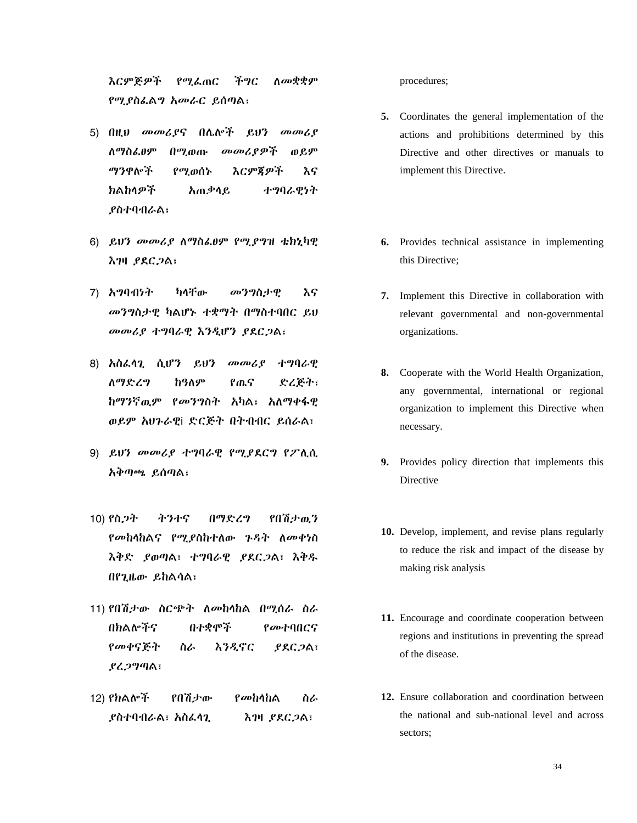እርምጅዎች የሚፌጠር ችግር ለመቋቋም የሚያስፌልግ አመራር ይሰጣል፣

- 5) በዚህ መመሪያና በላልች ይህን መመሪያ ሇማስፇፀም በሚወጡ መመሪያዎች ወይም ማንዋልች የሚወሰኑ እርምጃዎች እና ክሌከሊዎች አጠቃሊይ ተግባራዊነት ያስተባብራሌ፣
- 6) ይህን መመሪያ ስማስፌፀም የሚያግዝ ቴክኒካዊ እገዛ ያደርጋል፣
- 7) አግባብነት ካሊቸው መንግስታዊ እና መንግስታዊ ካሌሆኑ ተቋማት በማስተባበር ይህ መመሪያ ተግባራዊ እንዲሆን ያደርጋል፣
- 8) አስራሳጊ ሲሆን ይህን መመሪያ ተግባራዊ ለማድረግ ከዓለም የጤና ድረጅት፣ ከማንኛዉም የመንግስት አካል፣ አለማቀፋዊ ወይም አህጉራዊi ዴርጅት በትብብር ይሰራሌ፣
- 9) ይህን መመሪያ ተግባራዊ የሚያደርግ የፖለሲ አቅጣጫ ይሰጣሌ፣
- 10) የስጋት ትንተና በማዴረግ የበሽታዉን የመከላከልና የሚያስከተለው ጉዳት ለመቀነስ እቅድ ያወጣል፣ ተግባራዊ ያደርጋል፣ እቅዱ በየጊዜው ይከሌሳሌ፣
- 11) የበሽታው ስርጭት ለመከላከል በሚሰራ ስራ በክሌልችና በተቋሞች የመተባበርና የመቀናጅት ስራ እንዲኖር ያደርጋል፣ ያረጋግጣሌ፣
- 12) የክሌልች የበሽታው የመከሊከሌ ስራ ያስተባብራል፣ አስፌሳጊ እገዛ ያደርጋል፣

procedures;

- **5.** Coordinates the general implementation of the actions and prohibitions determined by this Directive and other directives or manuals to implement this Directive.
- **6.** Provides technical assistance in implementing this Directive;
- **7.** Implement this Directive in collaboration with relevant governmental and non-governmental organizations.
- **8.** Cooperate with the World Health Organization, any governmental, international or regional organization to implement this Directive when necessary.
- **9.** Provides policy direction that implements this Directive
- **10.** Develop, implement, and revise plans regularly to reduce the risk and impact of the disease by making risk analysis
- **11.** Encourage and coordinate cooperation between regions and institutions in preventing the spread of the disease.
- **12.** Ensure collaboration and coordination between the national and sub-national level and across sectors;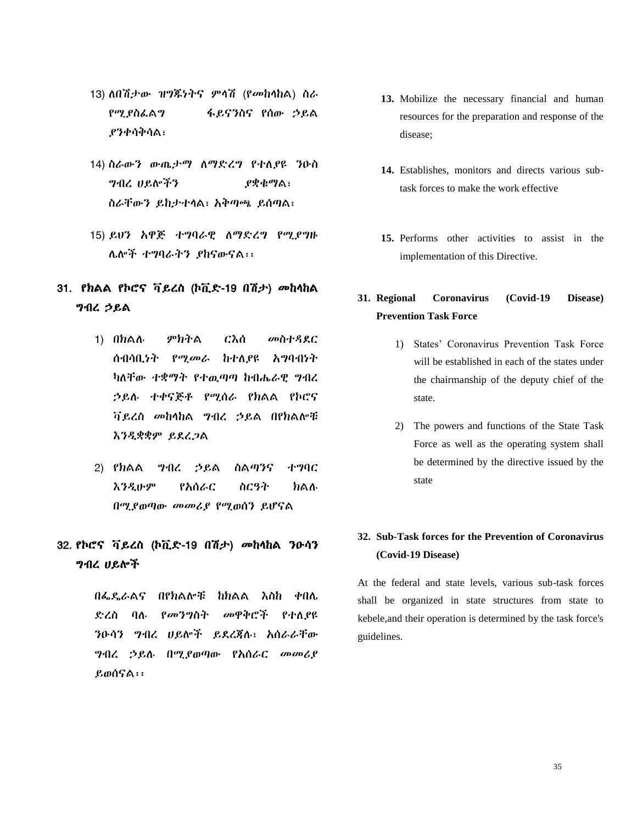- 13) ለበሽታው ዝግጁነትና ምላሽ (የመከላከል) ስራ የሚያስፌልግ ፋይናንስና የሰው ኃይል ያንቀሳቅሳሌ፣
- 14) ስራውን ውጤታማ ለማድረግ የተለያዩ ንዑስ ግብረ ሀይልችን ያቋቁማሌ፣ ስራቸውን ይከታተሊሌ፣ አቅጣጫ ይሰጣሌ፣
- 15) ይህን አዋጅ ተግባራዊ ለማድረግ የሚያግዙ ላልች ተግባራትን ያከናውናሌ፡፡

# 31. የክሌሌ የኮሮና ቫይረስ (ኮቪዴ-19 በሽታ) መከሊከሌ ግብረ ኃይሌ

- 1) በክልሉ ምክትል ርእሰ መስተዳደር ሰብሳቢነት የሚመራ ከተለያዩ አግባብነት ካለቸው ተቋማት የተዉጣጣ ከብሔራዊ ግብረ ኃይለ ተቀናጅቶ የሚሰራ የክሌሌ የኮሮና ቫይረስ መከሊከሌ ግብረ ኃይሌ በየክሌልቹ እንዲቋቋም ይደረጋል
- 2) የክሌሌ ግብረ ኃይሌ ስሌጣንና ተግባር እንዱሁም የአሰራር ስርዓት ክሌለ በሚያወጣው መመሪያ የሚወሰን ይሆናሌ

# 32. የኮሮና ቫይረስ (ኮቪዴ-19 በሽታ) መከሊከሌ ንዑሳን ግብረ ሀይልች

በፋዳራሌና በየክሌልቹ ከክሌሌ እስከ ቀበላ ድረስ ባለ የመንግስት መዋቅሮች የተለያዩ ንዑሳን ግብረ ሀይሎች ይደረጃሉ፣ አሰራራቸው ግብረ ኃይለ በሚያወጣው የአሰራር መመሪያ ይወሰናሌ፡፡

- **13.** Mobilize the necessary financial and human resources for the preparation and response of the disease;
- **14.** Establishes, monitors and directs various subtask forces to make the work effective
- **15.** Performs other activities to assist in the implementation of this Directive.
- **31. Regional Coronavirus (Covid-19 Disease) Prevention Task Force**
	- 1) States' Coronavirus Prevention Task Force will be established in each of the states under the chairmanship of the deputy chief of the state.
	- 2) The powers and functions of the State Task Force as well as the operating system shall be determined by the directive issued by the state

# **32. Sub-Task forces for the Prevention of Coronavirus (Covid-19 Disease)**

At the federal and state levels, various sub-task forces shall be organized in state structures from state to kebele,and their operation is determined by the task force's guidelines.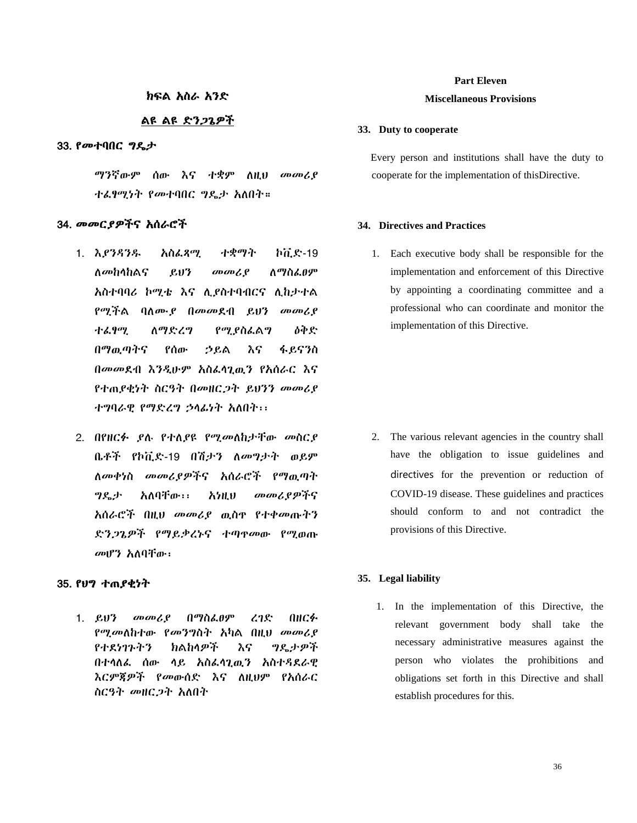#### ክፍል አስራ አንድ

### ልዩ ልዩ ድን*ጋ*ጌዎች

#### 33. *የመተ*ባበር *ግ*ዱታ

ማንኛውም ሰው እና ተቋም ስዚህ መመሪያ ተራፃሚነት የመተባበር ግዴታ አለበት።

#### 34. መመርያዎችና አሰራሮች

- 1. እ*ያንዳንዱ አስፌጻሚ ተቋማት ኮቪ*ድ-19 ስመከላከልና ይህን መመሪያ ስማስፌፀም አስተባባሪ ኮሚቴ እና ሉያስተባብርና ሉከታተሌ የሚችል ባለሙያ በመመደብ ይህን መመሪያ ተፌፃሚ ለማድረግ የሚያስፌልግ ዕቅድ በማዉጣትና የሰው ኃይሌ እና ፊይናንስ በመመደብ እንዲሁም አስፌሳጊዉን የአሰራር እና የተጠያቂነት ስርዓት በመዘርጋት ይህንን መመሪያ ተግባራዊ የማድረግ ኃላፊነት አለበት፡፡
- 2. በየዘርፉ ያለ የተለያዩ የሚመለከታቸው መስርያ ቤቶች የኮቪዴ-19 በሽታን ሇመግታት ወይም ሇመቀነስ መመሪያዎችና አሰራሮች የማዉጣት ግዳታ አሇባቸው፡፡ አነዚህ መመሪያዎችና አሰራሮች በዚህ መመሪያ ዉስጥ የተቀመጡትን ዴንጋጌዎች የማይቃረኑና ተጣጥመው የሚወጡ መሆን አለባቸው፡

#### 35. የህግ ተጠያቂነት

1. ይህን መመሪያ በማስፌፀም ረገድ በዘርፉ የሚመሇከተው የመንግስት አካሌ በዚህ መመሪያ የተደነገጉትን ክልከላዎች እና ግዴታዎች በተላለፌ ሰው ላይ አስፌላጊዉን አስተዳደራዊ እርምጃዎች የመውሰድ እና ለዚህም የአሰራር ስርዓት መዘርጋት አለበት

### **Part Eleven Miscellaneous Provisions**

#### **33. Duty to cooperate**

 Every person and institutions shall have the duty to cooperate for the implementation of thisDirective.

#### **34. Directives and Practices**

1. Each executive body shall be responsible for the implementation and enforcement of this Directive by appointing a coordinating committee and a professional who can coordinate and monitor the implementation of this Directive.

2. The various relevant agencies in the country shall have the obligation to issue guidelines and directives for the prevention or reduction of COVID-19 disease. These guidelines and practices should conform to and not contradict the provisions of this Directive.

#### **35. Legal liability**

1. In the implementation of this Directive, the relevant government body shall take the necessary administrative measures against the person who violates the prohibitions and obligations set forth in this Directive and shall establish procedures for this.